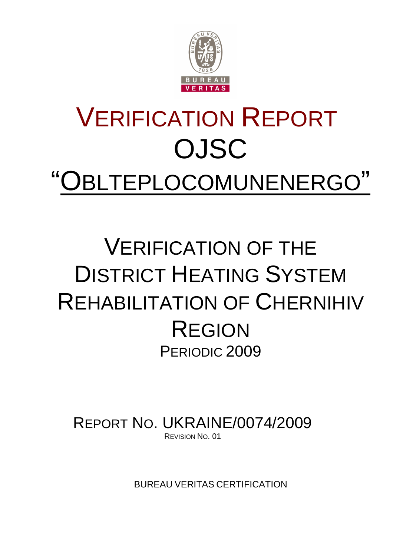

# VERIFICATION REPORT OJSC "OBLTEPLOCOMUNENERGO"

# VERIFICATION OF THE DISTRICT HEATING SYSTEM REHABILITATION OF CHERNIHIV REGION PERIODIC 2009

REPORT NO. UKRAINE/0074/2009 REVISION NO. 01

BUREAU VERITAS CERTIFICATION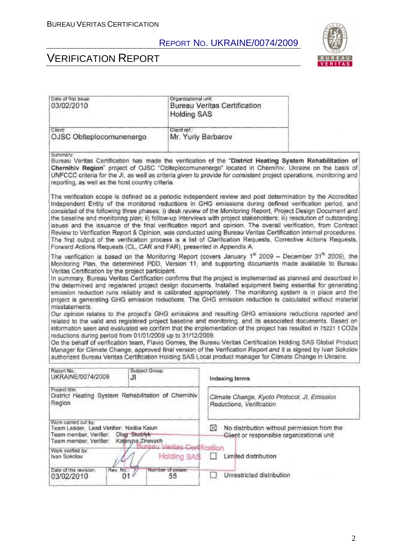

# VERIFICATION REPORT

| Date of first issue:<br>03/02/2010                                                                                                                                                       | Organizational unit<br><b>Holding SAS</b> | Bureau Veritas Certification                                                                                                                                                                                                                                                                                                                                                                                                                                                                                                                                                                                                                                                                                                                                                                                                                                                                                                                                                                                                                                                                                                                                                                                                                                                                                                                                                           |  |
|------------------------------------------------------------------------------------------------------------------------------------------------------------------------------------------|-------------------------------------------|----------------------------------------------------------------------------------------------------------------------------------------------------------------------------------------------------------------------------------------------------------------------------------------------------------------------------------------------------------------------------------------------------------------------------------------------------------------------------------------------------------------------------------------------------------------------------------------------------------------------------------------------------------------------------------------------------------------------------------------------------------------------------------------------------------------------------------------------------------------------------------------------------------------------------------------------------------------------------------------------------------------------------------------------------------------------------------------------------------------------------------------------------------------------------------------------------------------------------------------------------------------------------------------------------------------------------------------------------------------------------------------|--|
| Client:<br>OJSC Oblteplocomunenergo                                                                                                                                                      | Client ref.:                              | Mr. Yuriy Barbarov                                                                                                                                                                                                                                                                                                                                                                                                                                                                                                                                                                                                                                                                                                                                                                                                                                                                                                                                                                                                                                                                                                                                                                                                                                                                                                                                                                     |  |
| Summary:<br>reporting, as well as the host country criteria.                                                                                                                             |                                           | Bureau Veritas Certification has made the verification of the "District Heating System Rehabilitation of<br>Chernihiv Region" project of OJSC "Oblteplocomunenergo" located in Chernihiv, Ukraine on the basis of<br>UNFCCC criteria for the JI, as well as criteria given to provide for consistent project operations, monitoring and                                                                                                                                                                                                                                                                                                                                                                                                                                                                                                                                                                                                                                                                                                                                                                                                                                                                                                                                                                                                                                                |  |
| Forward Actions Requests (CL, CAR and FAR), presented in Appendix A.                                                                                                                     |                                           | The verification scope is defined as a periodic independent review and post determination by the Accredited<br>Independent Entity of the monitored reductions in GHG emissions during defined verification period, and<br>consisted of the following three phases: i) desk review of the Monitoring Report, Project Design Document and<br>the baseline and monitoring plan; ii) follow-up interviews with project stakeholders; iii) resolution of outstanding<br>issues and the issuance of the final verification report and opinion. The overall verification, from Contract<br>Review to Verification Report & Opinion, was conducted using Bureau Veritas Certification internal procedures.<br>The first output of the verification process is a list of Clarification Requests, Corrective Actions Requests,                                                                                                                                                                                                                                                                                                                                                                                                                                                                                                                                                                   |  |
| Veritas Certification by the project participant.<br>misstatements.<br>reductions during period from 01/01/2009 up to 31/12/2009.                                                        |                                           | The verification is based on the Monitoring Report (covers January 1 <sup>4</sup> 2009 - December 31 <sup>th</sup> 2009), the<br>Monitoring Plan, the determined PDD, Version 11, and supporting documents made available to Bureau<br>In summary, Bureau Veritas Certification confirms that the project is implemented as planned and described in<br>the determined and registered project design documents. Installed equipment being essential for generating<br>emission reduction runs reliably and is calibrated appropriately. The monitoring system is in place and the<br>project is generating GHG emission reductions. The GHG emission reduction is calculated without material<br>Our opinion relates to the project's GHG emissions and resulting GHG emissions reductions reported and<br>related to the valid and registered project baseline and monitoring, and its associated documents. Based on<br>information seen and evaluated we confirm that the implementation of the project has resulted in 75221 t CO2e<br>On the behalf of verification team, Flavio Gomes, the Bureau Veritas Certification Holding SAS Global Product<br>Manager for Climate Change, approved final version of the Verification Report and it is signed by Ivan Sokolov<br>authorized Bureau Veritas Certification Holding SAS Local product manager for Climate Change in Ukraine. |  |
| Report No.:<br>UKRAINE/0074/2009                                                                                                                                                         | Subject Group:<br>JI                      | Indexing terms                                                                                                                                                                                                                                                                                                                                                                                                                                                                                                                                                                                                                                                                                                                                                                                                                                                                                                                                                                                                                                                                                                                                                                                                                                                                                                                                                                         |  |
| Project title:<br>District Heating System Rehabilitation of Chernihiv<br>Region                                                                                                          |                                           | Climate Change, Kyoto Protocol, Jl, Emission<br>Reductions, Verification                                                                                                                                                                                                                                                                                                                                                                                                                                                                                                                                                                                                                                                                                                                                                                                                                                                                                                                                                                                                                                                                                                                                                                                                                                                                                                               |  |
| Work carried out by:<br>Team Leader, Lead Verifier: Nadiia Kaiun<br>Oleg Skoblyk<br>Team member, Verifier:<br>Kateryna Zinevych<br>Team member, Verifier:<br>ureau Veritas Certification |                                           | No distribution without permission from the<br>M<br>Client or responsible organizational unit                                                                                                                                                                                                                                                                                                                                                                                                                                                                                                                                                                                                                                                                                                                                                                                                                                                                                                                                                                                                                                                                                                                                                                                                                                                                                          |  |
| Work ventied by:<br>Ivan Sokolov                                                                                                                                                         | Holding SA\$                              | Limited distribution                                                                                                                                                                                                                                                                                                                                                                                                                                                                                                                                                                                                                                                                                                                                                                                                                                                                                                                                                                                                                                                                                                                                                                                                                                                                                                                                                                   |  |
| Date of this revision:<br>Rev. No.<br>01<br>03/02/2010                                                                                                                                   | Number of pages:<br>55                    | Unrestricted distribution                                                                                                                                                                                                                                                                                                                                                                                                                                                                                                                                                                                                                                                                                                                                                                                                                                                                                                                                                                                                                                                                                                                                                                                                                                                                                                                                                              |  |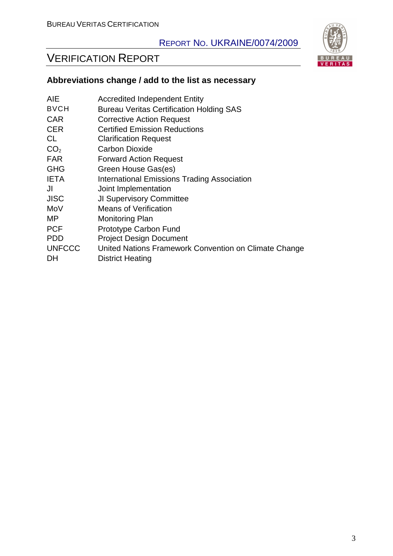# VERIFICATION REPORT



| <b>AIE</b>      | <b>Accredited Independent Entity</b>                  |
|-----------------|-------------------------------------------------------|
| <b>BVCH</b>     | <b>Bureau Veritas Certification Holding SAS</b>       |
| <b>CAR</b>      | <b>Corrective Action Request</b>                      |
| <b>CER</b>      | <b>Certified Emission Reductions</b>                  |
| CL.             | <b>Clarification Request</b>                          |
| CO <sub>2</sub> | <b>Carbon Dioxide</b>                                 |
| <b>FAR</b>      | <b>Forward Action Request</b>                         |
| <b>GHG</b>      | Green House Gas(es)                                   |
| <b>IETA</b>     | <b>International Emissions Trading Association</b>    |
| JI              | Joint Implementation                                  |
| <b>JISC</b>     | <b>JI Supervisory Committee</b>                       |
| MoV             | <b>Means of Verification</b>                          |
| MP.             | <b>Monitoring Plan</b>                                |
| <b>PCF</b>      | Prototype Carbon Fund                                 |
| <b>PDD</b>      | <b>Project Design Document</b>                        |
| <b>UNFCCC</b>   | United Nations Framework Convention on Climate Change |
| DH              | <b>District Heating</b>                               |

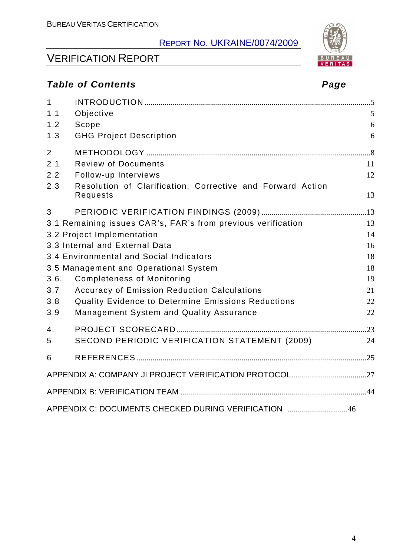# VERIFICATION REPORT

## **Table of Contents Page 2014**

| $\mathbf{1}$ |                                                                        |    |
|--------------|------------------------------------------------------------------------|----|
| 1.1          | Objective                                                              | 5  |
| 1.2          | Scope                                                                  | 6  |
| 1.3          | <b>GHG Project Description</b>                                         | 6  |
| 2            |                                                                        |    |
| 2.1          | <b>Review of Documents</b>                                             | 11 |
| 2.2          | Follow-up Interviews                                                   | 12 |
| 2.3          | Resolution of Clarification, Corrective and Forward Action<br>Requests | 13 |
| 3            |                                                                        |    |
|              | 3.1 Remaining issues CAR's, FAR's from previous verification           | 13 |
|              | 3.2 Project Implementation                                             | 14 |
|              | 3.3 Internal and External Data                                         | 16 |
|              | 3.4 Environmental and Social Indicators                                | 18 |
|              | 3.5 Management and Operational System                                  | 18 |
| 3.6.         | <b>Completeness of Monitoring</b>                                      | 19 |
| 3.7          | <b>Accuracy of Emission Reduction Calculations</b>                     | 21 |
| 3.8          | Quality Evidence to Determine Emissions Reductions                     | 22 |
| 3.9          | Management System and Quality Assurance                                | 22 |
| 4.           |                                                                        |    |
| 5            | SECOND PERIODIC VERIFICATION STATEMENT (2009)                          | 24 |
| 6            |                                                                        |    |
|              |                                                                        |    |
|              |                                                                        |    |
|              | APPENDIX C: DOCUMENTS CHECKED DURING VERIFICATION 46                   |    |

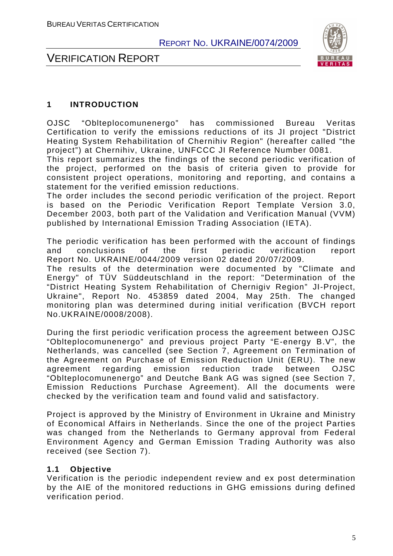



#### **1 INTRODUCTION**

OJSC "Oblteplocomunenergo" has commissioned Bureau Veritas Certification to verify the emissions reductions of its JI project "District Heating System Rehabilitation of Chernihiv Region" (hereafter called "the project") at Chernihiv, Ukraine, UNFCCC JI Reference Number 0081.

This report summarizes the findings of the second periodic verification of the project, performed on the basis of criteria given to provide for consistent project operations, monitoring and reporting, and contains a statement for the verified emission reductions.

The order includes the second periodic verification of the project. Report is based on the Periodic Verification Report Template Version 3.0, December 2003, both part of the Validation and Verification Manual (VVM) published by International Emission Trading Association (IETA).

The periodic verification has been performed with the account of findings and conclusions of the first periodic verification report Report No. UKRAINE/0044/2009 version 02 dated 20/07/2009.

The results of the determination were documented by "Climate and Energy" of TÜV Süddeutschland in the report: "Determination of the "District Heating System Rehabilitation of Chernigiv Region" JI-Project, Ukraine", Report No. 453859 dated 2004, May 25th. The changed monitoring plan was determined during initial verification (BVCH report No.UKRAINE/0008/2008).

During the first periodic verification process the agreement between OJSC "Oblteplocomunenergo" and previous project Party "E-energy B.V", the Netherlands, was cancelled (see Section 7, Agreement on Termination of the Agreement on Purchase of Emission Reduction Unit (ERU). The new agreement regarding emission reduction trade between OJSC "Oblteplocomunenergo" and Deutche Bank AG was signed (see Section 7, Emission Reductions Purchase Agreement). All the documents were checked by the verification team and found valid and satisfactory.

Project is approved by the Ministry of Environment in Ukraine and Ministry of Economical Affairs in Netherlands. Since the one of the project Parties was changed from the Netherlands to Germany approval from Federal Environment Agency and German Emission Trading Authority was also received (see Section 7).

#### **1.1 Objective**

Verification is the periodic independent review and ex post determination by the AIE of the monitored reductions in GHG emissions during defined verification period.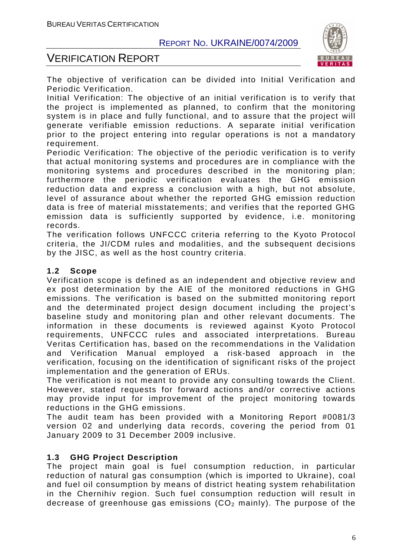



The objective of verification can be divided into Initial Verification and Periodic Verification.

Initial Verification: The objective of an initial verification is to verify that the project is implemented as planned, to confirm that the monitoring system is in place and fully functional, and to assure that the project will generate verifiable emission reductions. A separate initial verification prior to the project entering into regular operations is not a mandatory requirement.

Periodic Verification: The objective of the periodic verification is to verify that actual monitoring systems and procedures are in compliance with the monitoring systems and procedures described in the monitoring plan; furthermore the periodic verification evaluates the GHG emission reduction data and express a conclusion with a high, but not absolute, level of assurance about whether the reported GHG emission reduction data is free of material misstatements; and verifies that the reported GHG emission data is sufficiently supported by evidence, i.e. monitoring records.

The verification follows UNFCCC criteria referring to the Kyoto Protocol criteria, the JI/CDM rules and modalities, and the subsequent decisions by the JISC, as well as the host country criteria.

#### **1.2 Scope**

Verification scope is defined as an independent and objective review and ex post determination by the AIE of the monitored reductions in GHG emissions. The verification is based on the submitted monitoring report and the determinated project design document including the project's baseline study and monitoring plan and other relevant documents. The information in these documents is reviewed against Kyoto Protocol requirements, UNFCCC rules and associated interpretations. Bureau Veritas Certification has, based on the recommendations in the Validation and Verification Manual employed a risk-based approach in the verification, focusing on the identification of significant risks of the project implementation and the generation of ERUs.

The verification is not meant to provide any consulting towards the Client. However, stated requests for forward actions and/or corrective actions may provide input for improvement of the project monitoring towards reductions in the GHG emissions.

The audit team has been provided with a Monitoring Report #0081/3 version 02 and underlying data records, covering the period from 01 January 2009 to 31 December 2009 inclusive.

#### **1.3 GHG Project Description**

The project main goal is fuel consumption reduction, in particular reduction of natural gas consumption (which is imported to Ukraine), coal and fuel oil consumption by means of district heating system rehabilitation in the Chernihiv region. Such fuel consumption reduction will result in decrease of greenhouse gas emissions  $(CO<sub>2</sub>$  mainly). The purpose of the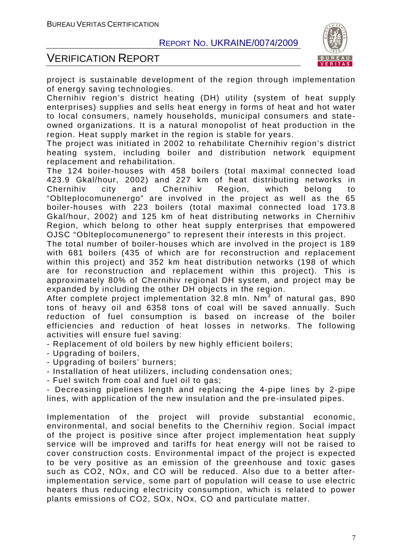

## VERIFICATION REPORT

project is sustainable development of the region through implementation of energy saving technologies.

Chernihiv region's district heating (DH) utility (system of heat supply enterprises) supplies and sells heat energy in forms of heat and hot water to local consumers, namely households, municipal consumers and stateowned organizations. It is a natural monopolist of heat production in the region. Heat supply market in the region is stable for years.

The project was initiated in 2002 to rehabilitate Chernihiv region's district heating system, including boiler and distribution network equipment replacement and rehabilitation.

The 124 boiler-houses with 458 boilers (total maximal connected load 423.9 Gkal/hour, 2002) and 227 km of heat distributing networks in Chernihiv city and Chernihiv Region, which belong to "Oblteplocomunenergo" are involved in the project as well as the 65 boiler-houses with 223 boilers (total maximal connected load 173.8 Gkal/hour, 2002) and 125 km of heat distributing networks in Chernihiv Region, which belong to other heat supply enterprises that empowered OJSC "Oblteplocomunenergo" to represent their interests in this project.

The total number of boiler-houses which are involved in the project is 189 with 681 boilers (435 of which are for reconstruction and replacement within this project) and 352 km heat distribution networks (198 of which are for reconstruction and replacement within this project). This is approximately 80% of Chernihiv regional DH system, and project may be expanded by including the other DH objects in the region.

After complete project implementation 32.8 mln. Nm<sup>3</sup> of natural gas, 890 tons of heavy oil and 6358 tons of coal will be saved annually. Such reduction of fuel consumption is based on increase of the boiler efficiencies and reduction of heat losses in networks. The following activities will ensure fuel saving:

- Replacement of old boilers by new highly efficient boilers;

- Upgrading of boilers,

- Upgrading of boilers' burners;

- Installation of heat utilizers, including condensation ones;

- Fuel switch from coal and fuel oil to gas;

- Decreasing pipelines length and replacing the 4-pipe lines by 2-pipe lines, with application of the new insulation and the pre-insulated pipes.

Implementation of the project will provide substantial economic, environmental, and social benefits to the Chernihiv region. Social impact of the project is positive since after project implementation heat supply service will be improved and tariffs for heat energy will not be raised to cover construction costs. Environmental impact of the project is expected to be very positive as an emission of the greenhouse and toxic gases such as CO2, NOx, and CO will be reduced. Also due to a better afterimplementation service, some part of population will cease to use electric heaters thus reducing electricity consumption, which is related to power plants emissions of CO2, SOx, NOx, CO and particulate matter.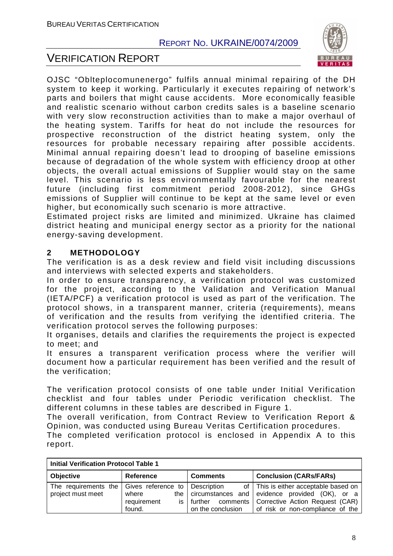## VERIFICATION REPORT



OJSC "Oblteplocomunenergo" fulfils annual minimal repairing of the DH system to keep it working. Particularly it executes repairing of network's parts and boilers that might cause accidents. More economically feasible and realistic scenario without carbon credits sales is a baseline scenario with very slow reconstruction activities than to make a major overhaul of the heating system. Tariffs for heat do not include the resources for prospective reconstruction of the district heating system, only the resources for probable necessary repairing after possible accidents. Minimal annual repairing doesn't lead to drooping of baseline emissions because of degradation of the whole system with efficiency droop at other objects, the overall actual emissions of Supplier would stay on the same level. This scenario is less environmentally favourable for the nearest future (including first commitment period 2008-2012), since GHGs emissions of Supplier will continue to be kept at the same level or even higher, but economically such scenario is more attractive.

Estimated project risks are limited and minimized. Ukraine has claimed district heating and municipal energy sector as a priority for the national energy-saving development.

#### **2 METHODOLOGY**

The verification is as a desk review and field visit including discussions and interviews with selected experts and stakeholders.

In order to ensure transparency, a verification protocol was customized for the project, according to the Validation and Verification Manual (IETA/PCF) a verification protocol is used as part of the verification. The protocol shows, in a transparent manner, criteria (requirements), means of verification and the results from verifying the identified criteria. The verification protocol serves the following purposes:

It organises, details and clarifies the requirements the project is expected to meet; and

It ensures a transparent verification process where the verifier will document how a particular requirement has been verified and the result of the verification;

The verification protocol consists of one table under Initial Verification checklist and four tables under Periodic verification checklist. The different columns in these tables are described in Figure 1.

The overall verification, from Contract Review to Verification Report & Opinion, was conducted using Bureau Veritas Certification procedures.

The completed verification protocol is enclosed in Appendix A to this report.

| <b>Initial Verification Protocol Table 1</b>                     |                                       |                                                                                  |                                                                                                                                                     |  |
|------------------------------------------------------------------|---------------------------------------|----------------------------------------------------------------------------------|-----------------------------------------------------------------------------------------------------------------------------------------------------|--|
| <b>Objective</b>                                                 | <b>Reference</b>                      | <b>Comments</b>                                                                  | <b>Conclusion (CARs/FARs)</b>                                                                                                                       |  |
| The requirements the   Gives reference to  <br>project must meet | where<br>requirement<br>İS.<br>found. | Description<br>the circumstances and<br>comments<br>further<br>on the conclusion | of   This is either acceptable based on  <br>evidence provided $(OK)$ , or a<br>Corrective Action Request (CAR)<br>of risk or non-compliance of the |  |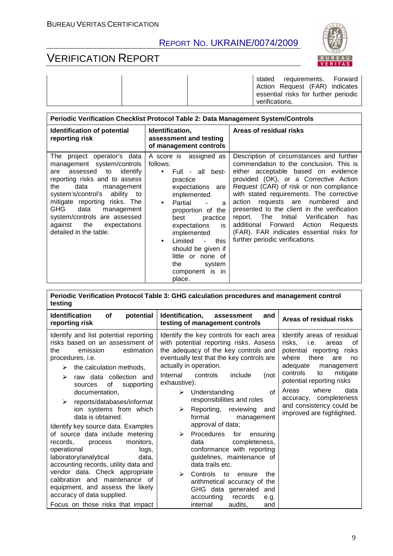## VERIFICATION REPORT



stated requirements. Forward Action Request (FAR) indicates essential risks for further periodic verifications.

| Periodic Verification Checklist Protocol Table 2: Data Management System/Controls                                                                                                                                                                                                                                                                    |                                                                                                                                                                                                                                                                                                                                            |                                                                                                                                                                                                                                                                                                                                                                                                                                                                                                                              |  |
|------------------------------------------------------------------------------------------------------------------------------------------------------------------------------------------------------------------------------------------------------------------------------------------------------------------------------------------------------|--------------------------------------------------------------------------------------------------------------------------------------------------------------------------------------------------------------------------------------------------------------------------------------------------------------------------------------------|------------------------------------------------------------------------------------------------------------------------------------------------------------------------------------------------------------------------------------------------------------------------------------------------------------------------------------------------------------------------------------------------------------------------------------------------------------------------------------------------------------------------------|--|
| Identification of potential<br>reporting risk                                                                                                                                                                                                                                                                                                        | Identification,<br>assessment and testing<br>of management controls                                                                                                                                                                                                                                                                        | Areas of residual risks                                                                                                                                                                                                                                                                                                                                                                                                                                                                                                      |  |
| The project operator's data<br>management system/controls<br>identify<br>assessed to<br>are<br>reporting risks and to assess<br>the<br>data<br>management<br>system's/control's ability to<br>mitigate reporting risks. The<br>GHG<br>data<br>management<br>system/controls are assessed<br>the<br>against<br>expectations<br>detailed in the table. | A score is assigned as<br>follows:<br>Full - all best-<br>practice<br>expectations are<br>implemented.<br>Partial<br>$\bullet$<br>a<br>proportion of the<br>practice<br>best<br>expectations<br>is<br>implemented<br>Limited<br>this<br>$\bullet$<br>should be given if<br>little or none of<br>the<br>system<br>component is in<br>place. | Description of circumstances and further<br>commendation to the conclusion. This is<br>either acceptable based on evidence<br>provided (OK), or a Corrective Action<br>Request (CAR) of risk or non compliance<br>with stated requirements. The corrective<br>action requests are numbered<br>and<br>presented to the client in the verification<br>report. The<br>Verification<br>Initial<br>has<br>additional Forward<br>Action<br>Requests<br>(FAR). FAR indicates essential risks for<br>further periodic verifications. |  |

| Periodic Verification Protocol Table 3: GHG calculation procedures and management control |  |
|-------------------------------------------------------------------------------------------|--|
| testing                                                                                   |  |

| <b>Identification</b><br>of<br>potential<br>reporting risk                                                                                                             | Identification,<br>and<br>assessment<br>testing of management controls                                                                                                                           | Areas of residual risks                                                                                                                           |
|------------------------------------------------------------------------------------------------------------------------------------------------------------------------|--------------------------------------------------------------------------------------------------------------------------------------------------------------------------------------------------|---------------------------------------------------------------------------------------------------------------------------------------------------|
| Identify and list potential reporting<br>risks based on an assessment of<br>estimation<br>emission<br>the<br>procedures, i.e.<br>the calculation methods,<br>⋗         | Identify the key controls for each area<br>with potential reporting risks. Assess<br>the adequacy of the key controls and<br>eventually test that the key controls are<br>actually in operation. | Identify areas of residual<br>risks,<br>οf<br>i.e.<br>areas<br>potential reporting risks<br>where<br>there<br>are<br>no<br>adequate<br>management |
| raw data collection and<br>≻<br>of<br>supporting<br>sources                                                                                                            | Internal<br>controls<br>include<br>(not<br>exhaustive):                                                                                                                                          | mitigate<br>controls<br>to<br>potential reporting risks                                                                                           |
| documentation,<br>reports/databases/informat<br>≻<br>ion systems from which<br>data is obtained.<br>Identify key source data. Examples                                 | Understanding<br>of<br>➤<br>responsibilities and roles<br>Reporting, reviewing<br>≻<br>and<br>formal<br>management<br>approval of data;                                                          | where<br>data<br>Areas<br>accuracy, completeness<br>and consistency could be<br>improved are highlighted.                                         |
| of source data include metering<br>monitors,<br>records,<br>process<br>operational<br>logs,<br>laboratory/analytical<br>data,<br>accounting records, utility data and  | <b>Procedures</b><br>for<br>➤<br>ensuring<br>completeness,<br>data<br>conformance with reporting<br>guidelines, maintenance of<br>data trails etc.                                               |                                                                                                                                                   |
| vendor data. Check appropriate<br>calibration and maintenance of<br>equipment, and assess the likely<br>accuracy of data supplied.<br>Focus on those risks that impact | ➤<br>Controls<br>to<br>the<br>ensure<br>arithmetical accuracy of the<br>GHG data generated<br>and<br>accounting<br>records<br>e.g.<br>audits.<br>internal<br>and                                 |                                                                                                                                                   |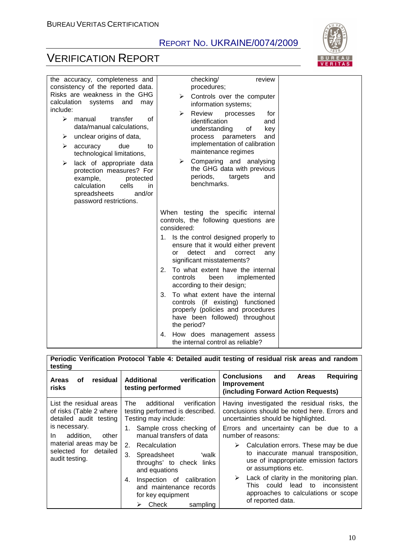

# VERIFICATION REPORT

| the accuracy, completeness and<br>consistency of the reported data.<br>Risks are weakness in the GHG                                                                                                                                                                                                                                                                        | checking/<br>review<br>procedures;<br>Controls over the computer<br>⋗                                                                                                                                                                                                                                                                                                               |  |
|-----------------------------------------------------------------------------------------------------------------------------------------------------------------------------------------------------------------------------------------------------------------------------------------------------------------------------------------------------------------------------|-------------------------------------------------------------------------------------------------------------------------------------------------------------------------------------------------------------------------------------------------------------------------------------------------------------------------------------------------------------------------------------|--|
| calculation systems<br>and<br>may<br>include:<br>$\blacktriangleright$<br>transfer<br>of<br>manual<br>data/manual calculations,<br>unclear origins of data,<br>➤<br>due<br>accuracy<br>➤<br>to<br>technological limitations,<br>lack of appropriate data<br>⋗<br>protection measures? For<br>example,<br>protected<br>calculation<br>cells<br>in.<br>and/or<br>spreadsheets | information systems;<br>Review<br>➤<br>processes<br>for<br>identification<br>and<br>understanding<br>key<br>οf<br>process<br>parameters<br>and<br>implementation of calibration<br>maintenance regimes<br>Comparing and analysing<br>➤<br>the GHG data with previous<br>periods,<br>targets<br>and<br>benchmarks.                                                                   |  |
| password restrictions.                                                                                                                                                                                                                                                                                                                                                      | When testing the specific internal<br>controls, the following questions are<br>considered:<br>1. Is the control designed properly to<br>ensure that it would either prevent<br>detect<br>and<br>correct<br>or<br>any                                                                                                                                                                |  |
|                                                                                                                                                                                                                                                                                                                                                                             | significant misstatements?<br>To what extent have the internal<br>2.<br>implemented<br>controls<br>been<br>according to their design;<br>To what extent have the internal<br>3.<br>controls (if existing) functioned<br>properly (policies and procedures<br>have been followed) throughout<br>the period?<br>How does management assess<br>4.<br>the internal control as reliable? |  |

#### **Periodic Verification Protocol Table 4: Detailed audit testing of residual risk areas and random testing**

| residual<br><b>Areas</b><br>οf<br>risks                                      | verification<br>Additional<br>testing performed                                                                                                                                                        | <b>Conclusions</b><br>and<br>Reguiring<br><b>Areas</b><br><b>Improvement</b><br>(including Forward Action Requests)                                                                                                                                                                                         |
|------------------------------------------------------------------------------|--------------------------------------------------------------------------------------------------------------------------------------------------------------------------------------------------------|-------------------------------------------------------------------------------------------------------------------------------------------------------------------------------------------------------------------------------------------------------------------------------------------------------------|
| List the residual areas<br>of risks (Table 2 where<br>detailed audit testing | additional<br>The<br>verification<br>testing performed is described.<br>Testing may include:                                                                                                           | Having investigated the residual risks, the<br>conclusions should be noted here. Errors and<br>uncertainties should be highlighted.                                                                                                                                                                         |
| is necessary.<br>addition.<br>other<br>In.                                   | 1. Sample cross checking of<br>manual transfers of data                                                                                                                                                | Errors and uncertainty can be due to a<br>number of reasons:                                                                                                                                                                                                                                                |
| material areas may be<br>selected for detailed<br>audit testing.             | 2.<br>Recalculation<br>3.<br>'walk<br>Spreadsheet<br>throughs' to check links<br>and equations<br>Inspection of calibration<br>4.<br>and maintenance records<br>for key equipment<br>Check<br>sampling | Calculation errors. These may be due<br>➤<br>to inaccurate manual transposition,<br>use of inappropriate emission factors<br>or assumptions etc.<br>Lack of clarity in the monitoring plan.<br>➤<br>inconsistent<br>could<br>to<br>This<br>lead<br>approaches to calculations or scope<br>of reported data. |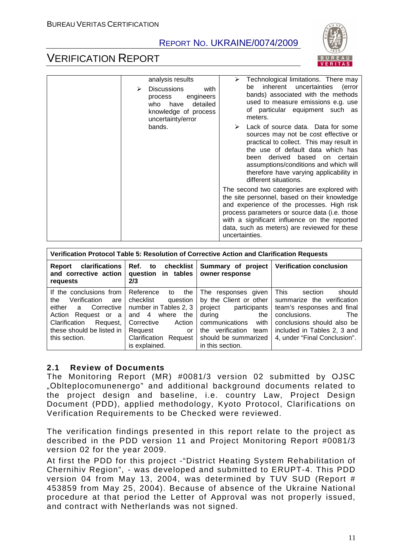

## VERIFICATION REPORT

| analysis results<br><b>Discussions</b><br>with<br>⋗<br>engineers<br>process<br>detailed<br>who have<br>knowledge of process<br>uncertainty/error | Technological limitations. There may<br>inherent uncertainties<br>(error<br>be<br>bands) associated with the methods<br>used to measure emissions e.g. use<br>of particular equipment such as<br>meters.                                                                                                        |
|--------------------------------------------------------------------------------------------------------------------------------------------------|-----------------------------------------------------------------------------------------------------------------------------------------------------------------------------------------------------------------------------------------------------------------------------------------------------------------|
| bands.                                                                                                                                           | Lack of source data. Data for some<br>sources may not be cost effective or<br>practical to collect. This may result in<br>the use of default data which has<br>derived<br>based on certain<br>been<br>assumptions/conditions and which will<br>therefore have varying applicability in<br>different situations. |
|                                                                                                                                                  | The second two categories are explored with<br>the site personnel, based on their knowledge<br>and experience of the processes. High risk<br>process parameters or source data (i.e. those<br>with a significant influence on the reported<br>data, such as meters) are reviewed for these<br>uncertainties.    |

| Verification Protocol Table 5: Resolution of Corrective Action and Clarification Requests                                                                                            |                                                                                                                                                                                         |                                                                                                                                                                                          |                                                                                                                                                                                                                  |
|--------------------------------------------------------------------------------------------------------------------------------------------------------------------------------------|-----------------------------------------------------------------------------------------------------------------------------------------------------------------------------------------|------------------------------------------------------------------------------------------------------------------------------------------------------------------------------------------|------------------------------------------------------------------------------------------------------------------------------------------------------------------------------------------------------------------|
| <b>clarifications</b><br>Report<br>and corrective action<br>requests                                                                                                                 | Ref.<br>checklist<br>to<br>question in tables<br>2/3                                                                                                                                    | Summary of project<br>owner response                                                                                                                                                     | <b>Verification conclusion</b>                                                                                                                                                                                   |
| If the conclusions from<br>Verification<br>the<br>are<br>either<br>a Corrective<br>Action<br>Request or a<br>Clarification<br>Request,<br>these should be listed in<br>this section. | Reference<br>the<br>to<br>checklist<br>question<br>number in Tables 2, 3<br>and 4<br>where<br>the<br>Corrective<br>Action<br>Request<br>or<br>Clarification<br>Request<br>is explained. | The responses given<br>by the Client or other<br>project participants<br>during<br>the<br>communications<br>with<br>the verification<br>team<br>should be summarized<br>in this section. | <b>This</b><br>should<br>section<br>summarize the verification<br>team's responses and final<br>conclusions.<br>The<br>conclusions should also be<br>included in Tables 2, 3 and<br>4, under "Final Conclusion". |

#### **2.1 Review of Documents**

The Monitoring Report (MR) #0081/3 version 02 submitted by OJSC "Оblteplocomunenergo" and additional background documents related to the project design and baseline, i.e. country Law, Project Design Document (PDD), applied methodology, Kyoto Protocol, Clarifications on Verification Requirements to be Checked were reviewed.

The verification findings presented in this report relate to the project as described in the PDD version 11 and Project Monitoring Report #0081/3 version 02 for the year 2009.

At first the PDD for this project -"District Heating System Rehabilitation of Chernihiv Region", - was developed and submitted to ERUPT-4. This PDD version 04 from May 13, 2004, was determined by TUV SUD (Report # 453859 from May 25, 2004). Because of absence of the Ukraine National procedure at that period the Letter of Approval was not properly issued, and contract with Netherlands was not signed.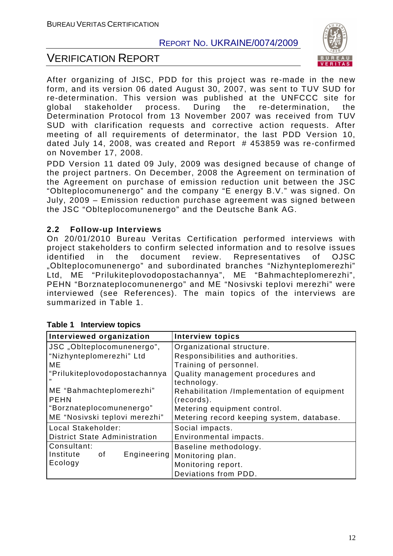

## VERIFICATION REPORT

After organizing of JISC, PDD for this project was re-made in the new form, and its version 06 dated August 30, 2007, was sent to TUV SUD for re-determination. This version was published at the UNFCCC site for global stakeholder process. During the re-determination, the Determination Protocol from 13 November 2007 was received from TUV SUD with clarification requests and corrective action requests. After meeting of all requirements of determinator, the last PDD Version 10, dated July 14, 2008, was created and Report # 453859 was re-confirmed on November 17, 2008.

PDD Version 11 dated 09 July, 2009 was designed because of change of the project partners. On December, 2008 the Agreement on termination of the Agreement on purchase of emission reduction unit between the JSC "Oblteplocomunenergo" and the company "E energy B.V." was signed. On July, 2009 – Emission reduction purchase agreement was signed between the JSC "Oblteplocomunenergo" and the Deutsche Bank AG.

#### **2.2 Follow-up Interviews**

On 20/01/2010 Bureau Veritas Certification performed interviews with project stakeholders to confirm selected information and to resolve issues identified in the document review. Representatives of OJSC "Оblteplocomunenergo" and subordinated branches "Nizhynteplomerezhi" Ltd, ME "Prilukiteplovodopostachannya", ME "Bahmachteplomerezhi", PEHN "Borznateplocomunenergo" and ME "Nosivski teplovi merezhi" were interviewed (see References). The main topics of the interviews are summarized in Table 1.

| Interviewed organization             | <b>Interview topics</b>                     |  |
|--------------------------------------|---------------------------------------------|--|
| JSC "Oblteplocomunenergo",           | Organizational structure.                   |  |
| "Nizhynteplomerezhi" Ltd             | Responsibilities and authorities.           |  |
| ME                                   | Training of personnel.                      |  |
| "Prilukiteplovodopostachannya        | Quality management procedures and           |  |
|                                      | technology.                                 |  |
| ME "Bahmachteplomerezhi"             | Rehabilitation /Implementation of equipment |  |
| <b>PEHN</b>                          | (records).                                  |  |
| "Borznateplocomunenergo"             | Metering equipment control.                 |  |
| ME "Nosivski teplovi merezhi"        | Metering record keeping system, database.   |  |
| Local Stakeholder:                   | Social impacts.                             |  |
| <b>District State Administration</b> | Environmental impacts.                      |  |
| Consultant:                          | Baseline methodology.                       |  |
| Institute<br>of<br>Engineering       | Monitoring plan.                            |  |
| Ecology                              | Monitoring report.                          |  |
|                                      | Deviations from PDD.                        |  |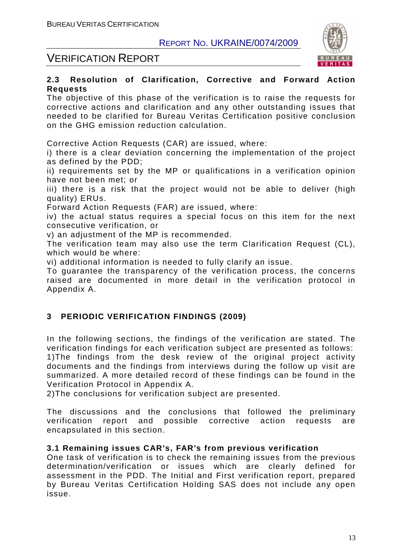

## VERIFICATION REPORT

#### **2.3 Resolution of Clarification, Corrective and Forward Action Requests**

The objective of this phase of the verification is to raise the requests for corrective actions and clarification and any other outstanding issues that needed to be clarified for Bureau Veritas Certification positive conclusion on the GHG emission reduction calculation.

Corrective Action Requests (CAR) are issued, where:

i) there is a clear deviation concerning the implementation of the project as defined by the PDD;

ii) requirements set by the MP or qualifications in a verification opinion have not been met; or

iii) there is a risk that the project would not be able to deliver (high quality) ERUs.

Forward Action Requests (FAR) are issued, where:

iv) the actual status requires a special focus on this item for the next consecutive verification, or

v) an adjustment of the MP is recommended.

The verification team may also use the term Clarification Request (CL), which would be where:

vi) additional information is needed to fully clarify an issue.

To guarantee the transparency of the verification process, the concerns raised are documented in more detail in the verification protocol in Appendix A.

#### **3 PERIODIC VERIFICATION FINDINGS (2009)**

In the following sections, the findings of the verification are stated. The verification findings for each verification subject are presented as follows: 1)The findings from the desk review of the original project activity documents and the findings from interviews during the follow up visit are summarized. A more detailed record of these findings can be found in the Verification Protocol in Appendix A.

2)The conclusions for verification subject are presented.

The discussions and the conclusions that followed the preliminary verification report and possible corrective action requests are encapsulated in this section.

#### **3.1 Remaining issues CAR's, FAR's from previous verification**

One task of verification is to check the remaining issues from the previous determination/verification or issues which are clearly defined for assessment in the PDD. The Initial and First verification report, prepared by Bureau Veritas Certification Holding SAS does not include any open issue.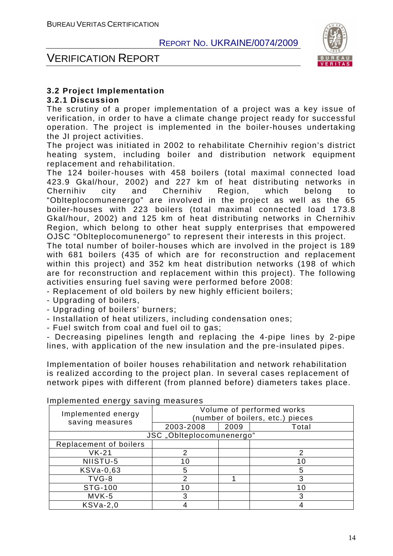

#### VERIFICATION REPORT

#### **3.2 Project Implementation**

#### **3.2.1 Discussion**

The scrutiny of a proper implementation of a project was a key issue of verification, in order to have a climate change project ready for successful operation. The project is implemented in the boiler-houses undertaking the JI project activities.

The project was initiated in 2002 to rehabilitate Chernihiv region's district heating system, including boiler and distribution network equipment replacement and rehabilitation.

The 124 boiler-houses with 458 boilers (total maximal connected load 423.9 Gkal/hour, 2002) and 227 km of heat distributing networks in Chernihiv city and Chernihiv Region, which belong to "Oblteplocomunenergo" are involved in the project as well as the 65 boiler-houses with 223 boilers (total maximal connected load 173.8 Gkal/hour, 2002) and 125 km of heat distributing networks in Chernihiv Region, which belong to other heat supply enterprises that empowered OJSC "Oblteplocomunenergo" to represent their interests in this project.

The total number of boiler-houses which are involved in the project is 189 with 681 boilers (435 of which are for reconstruction and replacement within this project) and 352 km heat distribution networks (198 of which are for reconstruction and replacement within this project). The following activities ensuring fuel saving were performed before 2008:

- Replacement of old boilers by new highly efficient boilers;
- Upgrading of boilers,
- Upgrading of boilers' burners;
- Installation of heat utilizers, including condensation ones;
- Fuel switch from coal and fuel oil to gas;

- Decreasing pipelines length and replacing the 4-pipe lines by 2-pipe lines, with application of the new insulation and the pre-insulated pipes.

Implementation of boiler houses rehabilitation and network rehabilitation is realized according to the project plan. In several cases replacement of network pipes with different (from planned before) diameters takes place.

| ر ت<br>Implemented energy | Volume of performed works<br>(number of boilers, etc.) pieces |      |       |  |  |
|---------------------------|---------------------------------------------------------------|------|-------|--|--|
| saving measures           | 2003-2008                                                     | 2009 | Total |  |  |
| JSC "Oblteplocomunenergo" |                                                               |      |       |  |  |
| Replacement of boilers    |                                                               |      |       |  |  |
| $VK-21$                   |                                                               |      | 2     |  |  |
| NIISTU-5                  | 10                                                            |      | 1 በ   |  |  |
| KSVa-0,63                 |                                                               |      | 5     |  |  |
| $TVG-8$                   |                                                               |      |       |  |  |
| STG-100                   | 1 በ                                                           |      | 1 በ   |  |  |
| $MVK-5$                   |                                                               |      |       |  |  |
| $KSVa-2,0$                |                                                               |      |       |  |  |

#### Implemented energy saving measures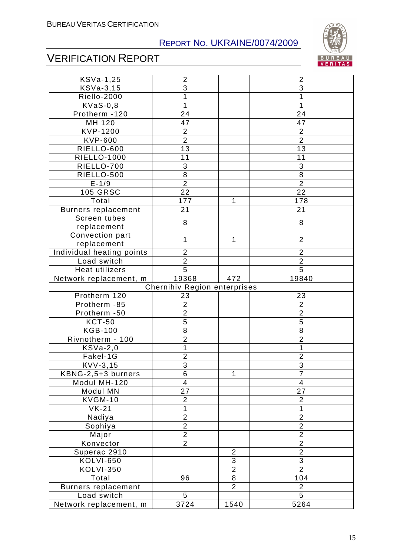

# VERIFICATION REPORT

| KSVa-1,25                  | $\overline{2}$               |                | $\overline{2}$           |
|----------------------------|------------------------------|----------------|--------------------------|
| KSVa-3,15                  | $\overline{3}$               |                | 3                        |
| Riello-2000                | 1                            |                | 1                        |
| $KVaS-0,8$                 | 1                            |                | 1                        |
| Protherm -120              | 24                           |                | 24                       |
| MH 120                     | 47                           |                | 47                       |
| <b>KVP-1200</b>            | $\overline{2}$               |                | $\overline{c}$           |
| <b>KVP-600</b>             | $\overline{2}$               |                | $\overline{2}$           |
| RIELLO-600                 | 13                           |                | 13                       |
| <b>RIELLO-1000</b>         | 11                           |                | 11                       |
| RIELLO-700                 | 3                            |                | 3                        |
| RIELLO-500                 | 8                            |                | 8                        |
| $E - 1/9$                  | $\overline{2}$               |                | $\overline{2}$           |
| <b>105 GRSC</b>            | 22                           |                | 22                       |
| Total                      | 177                          | 1              | 178                      |
| <b>Burners replacement</b> | 21                           |                | 21                       |
| Screen tubes               | 8                            |                | 8                        |
| replacement                |                              |                |                          |
| Convection part            | $\mathbf{1}$                 | 1              | $\overline{2}$           |
| replacement                |                              |                |                          |
| Individual heating points  | $\overline{2}$               |                | $\overline{2}$           |
| Load switch                | $\overline{2}$               |                | $\overline{2}$           |
| <b>Heat utilizers</b>      | $\overline{5}$               |                | $\overline{5}$           |
| Network replacement, m     | 19368                        | 472            | 19840                    |
|                            | Chernihiv Region enterprises |                |                          |
| Protherm 120               | 23                           |                | 23                       |
| Protherm -85               | $\overline{2}$               |                | $\overline{2}$           |
| Protherm -50               | $\overline{2}$               |                | $\overline{2}$           |
| <b>KCT-50</b>              | $\overline{5}$               |                | 5                        |
| <b>KGB-100</b>             | $\overline{8}$               |                | 8                        |
| Rivnotherm - 100           | $\overline{2}$               |                | $\overline{2}$           |
| $KSVa-2,0$                 | 1                            |                | 1                        |
| Fakel-1G                   | $\overline{2}$               |                | $\overline{2}$           |
| KVV-3,15                   | $\overline{3}$               |                | $\overline{3}$           |
| KBNG-2,5+3 burners         | 6                            | 1              | $\overline{7}$           |
| Modul MH-120               | $\overline{\mathbf{4}}$      |                | $\overline{\mathcal{A}}$ |
| Modul MN                   | 27                           |                | 27                       |
| KVGM-10                    | $\overline{2}$               |                | $\overline{2}$           |
| $VK-21$                    | 1                            |                | 1                        |
| Nadiya                     | $\overline{2}$               |                | $\overline{2}$           |
| Sophiya                    | $\overline{2}$               |                | $\overline{2}$           |
| Major                      | $\overline{2}$               |                | $\overline{2}$           |
| Konvector                  | $\overline{2}$               |                | $\overline{2}$           |
| Superac 2910               |                              | $\overline{2}$ | $\overline{2}$           |
| <b>KOLVI-650</b>           |                              | $\overline{3}$ | $\overline{3}$           |
| <b>KOLVI-350</b>           |                              | $\overline{2}$ | $\overline{2}$           |
| Total                      | 96                           | 8              | 104                      |
| Burners replacement        |                              | $\overline{2}$ | $\overline{2}$           |
| Load switch                | 5                            |                | $\overline{5}$           |
| Network replacement, m     | 3724                         | 1540           | 5264                     |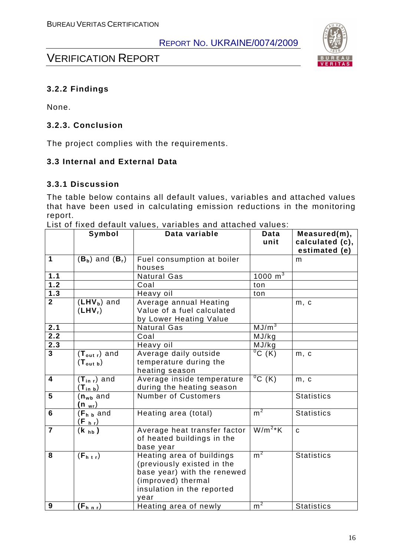

## VERIFICATION REPORT

#### **3.2.2 Findings**

None.

#### **3.2.3. Conclusion**

The project complies with the requirements.

#### **3.3 Internal and External Data**

#### **3.3.1 Discussion**

The table below contains all default values, variables and attached values that have been used in calculating emission reductions in the monitoring report.

|                         | Symbol                                                         | Data variable                                                                                                                                      | Data<br>unit        | Measured(m),<br>calculated (c),<br>estimated (e) |
|-------------------------|----------------------------------------------------------------|----------------------------------------------------------------------------------------------------------------------------------------------------|---------------------|--------------------------------------------------|
| $\mathbf 1$             | $(B_b)$ and $(B_r)$                                            | Fuel consumption at boiler<br>houses                                                                                                               |                     | m                                                |
| 1.1                     |                                                                | <b>Natural Gas</b>                                                                                                                                 | $1000 \text{ m}^3$  |                                                  |
| 1.2                     |                                                                | Coal                                                                                                                                               | ton                 |                                                  |
| $\overline{1.3}$        |                                                                | Heavy oil                                                                                                                                          | ton                 |                                                  |
| 2 <sup>1</sup>          | $(LHVb)$ and<br>$(LHV_r)$                                      | Average annual Heating<br>Value of a fuel calculated<br>by Lower Heating Value                                                                     |                     | m, c                                             |
| 2.1                     |                                                                | <b>Natural Gas</b>                                                                                                                                 | MJ/m <sup>3</sup>   |                                                  |
| 2.2                     |                                                                | Coal                                                                                                                                               | MJ/kg               |                                                  |
| 2.3                     |                                                                | Heavy oil                                                                                                                                          | MJ/kg               |                                                  |
| $\overline{\mathbf{3}}$ | $(T_{\text{out }r})$ and<br>$(T_{\text{out } b})$              | Average daily outside<br>temperature during the<br>heating season                                                                                  | $\overline{^0C(K)}$ | m, c                                             |
| $\overline{\mathbf{4}}$ | $(T_{in r})$ and<br>$(\mathsf{T}_{\mathsf{in} \; \mathsf{b}})$ | Average inside temperature<br>during the heating season                                                                                            | $\sqrt[0]{C( K )}$  | m, c                                             |
| 5                       | $(n_{wb}$ and<br><u>(n <sub>wr</sub>)</u>                      | <b>Number of Customers</b>                                                                                                                         |                     | <b>Statistics</b>                                |
| 6                       | $(Fh b$ and<br>$(F_{h r})$                                     | Heating area (total)                                                                                                                               | m <sup>2</sup>      | <b>Statistics</b>                                |
| $\overline{7}$          | $(k_{hb})$                                                     | Average heat transfer factor<br>of heated buildings in the<br>base year                                                                            | $W/m2*K$            | $\mathbf{C}$                                     |
| 8                       | (F <sub>h</sub> tr)                                            | Heating area of buildings<br>(previously existed in the<br>base year) with the renewed<br>(improved) thermal<br>insulation in the reported<br>year | m <sup>2</sup>      | <b>Statistics</b>                                |
| 9                       | $(F_{h n r})$                                                  | Heating area of newly                                                                                                                              | m <sup>2</sup>      | <b>Statistics</b>                                |

List of fixed default values, variables and attached values: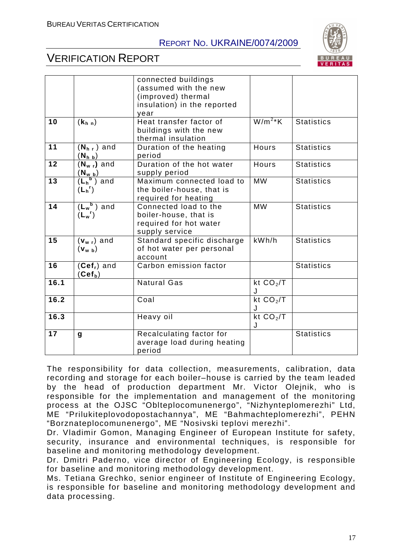

## VERIFICATION REPORT

|                 |                                                                                                                                         | connected buildings<br>(assumed with the new<br>(improved) thermal<br>insulation) in the reported |                 |                   |
|-----------------|-----------------------------------------------------------------------------------------------------------------------------------------|---------------------------------------------------------------------------------------------------|-----------------|-------------------|
|                 |                                                                                                                                         | vear                                                                                              |                 |                   |
| 10              | (k <sub>h n</sub> )                                                                                                                     | Heat transfer factor of<br>buildings with the new<br>thermal insulation                           | $W/m2*K$        | <b>Statistics</b> |
| 11              | $(N_{h,r})$ and<br>$(\mathsf{N}_{\mathsf{h}\;\mathsf{b}})$                                                                              | Duration of the heating<br>period                                                                 | Hours           | <b>Statistics</b> |
| $\overline{12}$ | $(N_w,$ and                                                                                                                             | Duration of the hot water<br>supply period                                                        | <b>Hours</b>    | <b>Statistics</b> |
| 13              | $\frac{\left(\mathsf{N}_{\mathsf{w}\;\mathsf{b}}\right)}{\left(\mathsf{L}_{\mathsf{h}}{}^{\mathsf{b}}\right)\;\text{and}}$<br>$(L_h^r)$ | Maximum connected load to<br>the boiler-house, that is<br>required for heating                    | <b>MW</b>       | <b>Statistics</b> |
| 14              | $(L_w^b)$ and<br>$(L_w^r)$                                                                                                              | Connected load to the<br>boiler-house, that is<br>required for hot water<br>supply service        | <b>MW</b>       | <b>Statistics</b> |
| 15              | $(v_{w r})$ and<br>$(\mathbf{v}_{\mathbf{w}\mathbf{b}})$                                                                                | Standard specific discharge<br>of hot water per personal<br>account                               | kWh/h           | <b>Statistics</b> |
| 16              | $(Cefr)$ and<br>(Cef <sub>b</sub> )                                                                                                     | Carbon emission factor                                                                            |                 | <b>Statistics</b> |
| 16.1            |                                                                                                                                         | <b>Natural Gas</b>                                                                                | kt $CO2/T$<br>J |                   |
| 16.2            |                                                                                                                                         | Coal                                                                                              | kt $CO2/T$<br>J |                   |
| 16.3            |                                                                                                                                         | Heavy oil                                                                                         | kt $CO2/T$<br>J |                   |
| 17              | g                                                                                                                                       | Recalculating factor for<br>average load during heating<br>period                                 |                 | <b>Statistics</b> |

The responsibility for data collection, measurements, calibration, data recording and storage for each boiler–house is carried by the team leaded by the head of production department Mr. Victor Olejnik, who is responsible for the implementation and management of the monitoring process at the OJSC "Oblteplocomunenergo", "Nizhynteplomerezhi" Ltd, ME "Prilukiteplovodopostachannya", ME "Bahmachteplomerezhi", PEHN "Borznateplocomunenergo", ME "Nosivski teplovi merezhi".

Dr. Vladimir Gomon, Managing Engineer of European Institute for safety, security, insurance and environmental techniques, is responsible for baseline and monitoring methodology development.

Dr. Dmitri Paderno, vice director of Engineering Ecology, is responsible for baseline and monitoring methodology development.

Ms. Tetiana Grechko, senior engineer of Institute of Engineering Ecology, is responsible for baseline and monitoring methodology development and data processing.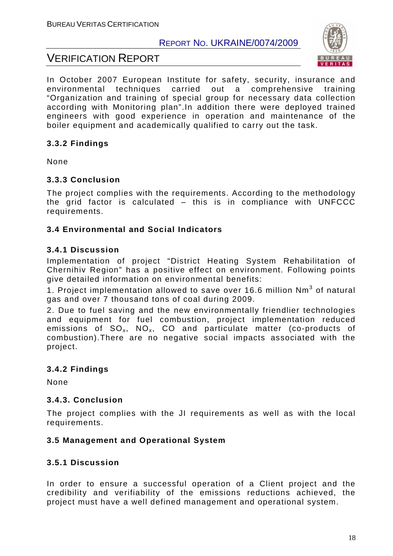



In October 2007 European Institute for safety, security, insurance and environmental techniques carried out a comprehensive training "Organization and training of special group for necessary data collection according with Monitoring plan".In addition there were deployed trained engineers with good experience in operation and maintenance of the boiler equipment and academically qualified to carry out the task.

#### **3.3.2 Findings**

None

#### **3.3.3 Conclusion**

The project complies with the requirements. According to the methodology the grid factor is calculated – this is in compliance with UNFCCC requirements.

#### **3.4 Environmental and Social Indicators**

#### **3.4.1 Discussion**

Implementation of project "District Heating System Rehabilitation of Chernihiv Region" has a positive effect on environment. Following points give detailed information on environmental benefits:

1. Project implementation allowed to save over 16.6 million  $Nm^3$  of natural gas and over 7 thousand tons of coal during 2009.

2. Due to fuel saving and the new environmentally friendlier technologies and equipment for fuel combustion, project implementation reduced emissions of  $SO_x$ ,  $NO_x$ ,  $CO$  and particulate matter (co-products of combustion).There are no negative social impacts associated with the project.

#### **3.4.2 Findings**

None

#### **3.4.3. Conclusion**

The project complies with the JI requirements as well as with the local requirements.

#### **3.5 Management and Operational System**

#### **3.5.1 Discussion**

In order to ensure a successful operation of a Client project and the credibility and verifiability of the emissions reductions achieved, the project must have a well defined management and operational system.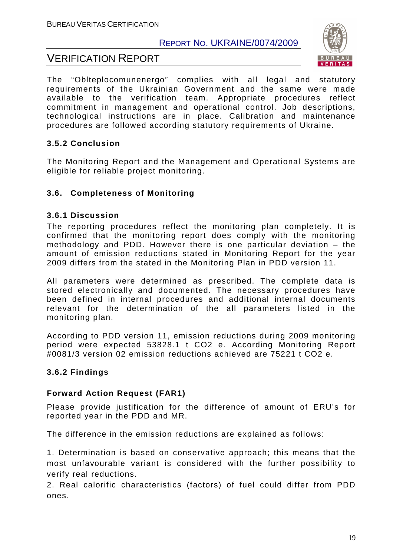## VERIFICATION REPORT



The "Oblteplocomunenergo" complies with all legal and statutory requirements of the Ukrainian Government and the same were made available to the verification team. Appropriate procedures reflect commitment in management and operational control. Job descriptions, technological instructions are in place. Calibration and maintenance procedures are followed according statutory requirements of Ukraine.

#### **3.5.2 Conclusion**

The Monitoring Report and the Management and Operational Systems are eligible for reliable project monitoring.

#### **3.6. Completeness of Monitoring**

#### **3.6.1 Discussion**

The reporting procedures reflect the monitoring plan completely. It is confirmed that the monitoring report does comply with the monitoring methodology and PDD. However there is one particular deviation – the amount of emission reductions stated in Monitoring Report for the year 2009 differs from the stated in the Monitoring Plan in PDD version 11.

All parameters were determined as prescribed. The complete data is stored electronically and documented. The necessary procedures have been defined in internal procedures and additional internal documents relevant for the determination of the all parameters listed in the monitoring plan.

According to PDD version 11, emission reductions during 2009 monitoring period were expected 53828.1 t CO2 e. According Monitoring Report #0081/3 version 02 emission reductions achieved are 75221 t CO2 e.

#### **3.6.2 Findings**

#### **Forward Action Request (FAR1)**

Please provide justification for the difference of amount of ERU's for reported year in the PDD and MR.

The difference in the emission reductions are explained as follows:

1. Determination is based on conservative approach; this means that the most unfavourable variant is considered with the further possibility to verify real reductions.

2. Real calorific characteristics (factors) of fuel could differ from PDD ones.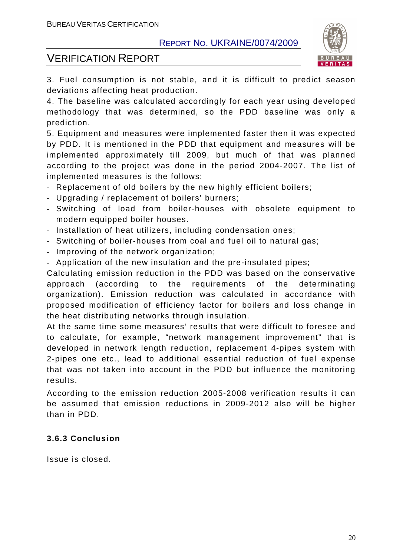

## VERIFICATION REPORT

3. Fuel consumption is not stable, and it is difficult to predict season deviations affecting heat production.

4. The baseline was calculated accordingly for each year using developed methodology that was determined, so the PDD baseline was only a prediction.

5. Equipment and measures were implemented faster then it was expected by PDD. It is mentioned in the PDD that equipment and measures will be implemented approximately till 2009, but much of that was planned according to the project was done in the period 2004-2007. The list of implemented measures is the follows:

- Replacement of old boilers by the new highly efficient boilers;
- Upgrading / replacement of boilers' burners;
- Switching of load from boiler-houses with obsolete equipment to modern equipped boiler houses.
- Installation of heat utilizers, including condensation ones;
- Switching of boiler-houses from coal and fuel oil to natural gas;
- Improving of the network organization;
- Application of the new insulation and the pre-insulated pipes;

Calculating emission reduction in the PDD was based on the conservative approach (according to the requirements of the determinating organization). Emission reduction was calculated in accordance with proposed modification of efficiency factor for boilers and loss change in the heat distributing networks through insulation.

At the same time some measures' results that were difficult to foresee and to calculate, for example, "network management improvement" that is developed in network length reduction, replacement 4-pipes system with 2-pipes one etc., lead to additional essential reduction of fuel expense that was not taken into account in the PDD but influence the monitoring results.

According to the emission reduction 2005-2008 verification results it can be assumed that emission reductions in 2009-2012 also will be higher than in PDD.

#### **3.6.3 Conclusion**

Issue is closed.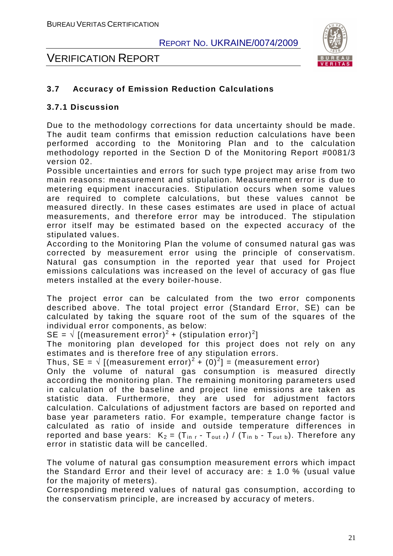

## VERIFICATION REPORT

#### **3.7 Accuracy of Emission Reduction Calculations**

#### **3.7.1 Discussion**

Due to the methodology corrections for data uncertainty should be made. The audit team confirms that emission reduction calculations have been performed according to the Monitoring Plan and to the calculation methodology reported in the Section D of the Monitoring Report #0081/3 version 02.

Possible uncertainties and errors for such type project may arise from two main reasons: measurement and stipulation. Measurement error is due to metering equipment inaccuracies. Stipulation occurs when some values are required to complete calculations, but these values cannot be measured directly. In these cases estimates are used in place of actual measurements, and therefore error may be introduced. The stipulation error itself may be estimated based on the expected accuracy of the stipulated values.

According to the Monitoring Plan the volume of consumed natural gas was corrected by measurement error using the principle of conservatism. Natural gas consumption in the reported year that used for Project emissions calculations was increased on the level of accuracy of gas flue meters installed at the every boiler-house.

The project error can be calculated from the two error components described above. The total project error (Standard Error, SE) can be calculated by taking the square root of the sum of the squares of the individual error components, as below:

SE =  $\sqrt{\left[\text{(measurement error)}^2 + \text{(stipulation error)}^2\right]}$ 

The monitoring plan developed for this project does not rely on any estimates and is therefore free of any stipulation errors.

Thus, SE =  $\sqrt{(}$  [(measurement error)<sup>2</sup> + (0)<sup>2</sup>] = (measurement error)

Only the volume of natural gas consumption is measured directly according the monitoring plan. The remaining monitoring parameters used in calculation of the baseline and project line emissions are taken as statistic data. Furthermore, they are used for adjustment factors calculation. Calculations of adjustment factors are based on reported and base year parameters ratio. For example, temperature change factor is calculated as ratio of inside and outside temperature differences in reported and base years:  $K_2 = (T_{\text{in }r} - T_{\text{out }r}) / (T_{\text{in }b} - T_{\text{out }b})$ . Therefore any error in statistic data will be cancelled.

The volume of natural gas consumption measurement errors which impact the Standard Error and their level of accuracy are:  $\pm$  1.0 % (usual value for the majority of meters).

Corresponding metered values of natural gas consumption, according to the conservatism principle, are increased by accuracy of meters.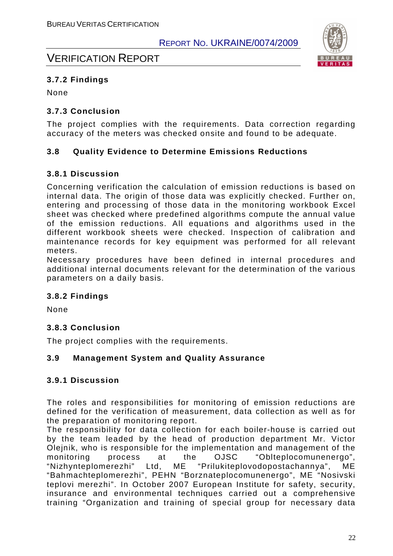

## VERIFICATION REPORT

#### **3.7.2 Findings**

None

#### **3.7.3 Conclusion**

The project complies with the requirements. Data correction regarding accuracy of the meters was checked onsite and found to be adequate.

#### **3.8 Quality Evidence to Determine Emissions Reductions**

#### **3.8.1 Discussion**

Concerning verification the calculation of emission reductions is based on internal data. The origin of those data was explicitly checked. Further on, entering and processing of those data in the monitoring workbook Excel sheet was checked where predefined algorithms compute the annual value of the emission reductions. All equations and algorithms used in the different workbook sheets were checked. Inspection of calibration and maintenance records for key equipment was performed for all relevant meters.

Necessary procedures have been defined in internal procedures and additional internal documents relevant for the determination of the various parameters on a daily basis.

#### **3.8.2 Findings**

None

#### **3.8.3 Conclusion**

The project complies with the requirements.

#### **3.9 Management System and Quality Assurance**

#### **3.9.1 Discussion**

The roles and responsibilities for monitoring of emission reductions are defined for the verification of measurement, data collection as well as for the preparation of monitoring report.

The responsibility for data collection for each boiler-house is carried out by the team leaded by the head of production department Mr. Victor Olejnik, who is responsible for the implementation and management of the monitoring process at the OJSC "Oblteplocomunenergo", "Nizhynteplomerezhi" Ltd, ME "Prilukiteplovodopostachannya", ME "Bahmachteplomerezhi", PEHN "Borznateplocomunenergo", ME "Nosivski teplovi merezhi". In October 2007 European Institute for safety, security, insurance and environmental techniques carried out a comprehensive training "Organization and training of special group for necessary data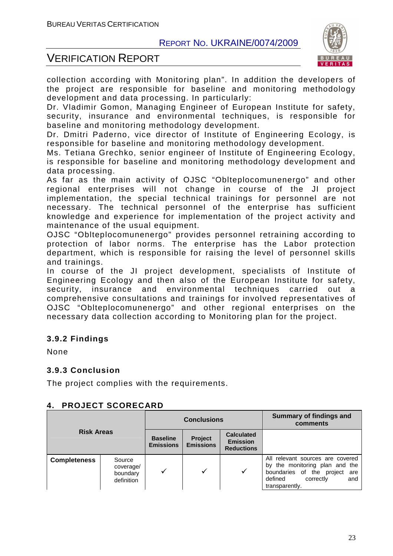

## VERIFICATION REPORT

collection according with Monitoring plan". In addition the developers of the project are responsible for baseline and monitoring methodology development and data processing. In particularly:

Dr. Vladimir Gomon, Managing Engineer of European Institute for safety, security, insurance and environmental techniques, is responsible for baseline and monitoring methodology development.

Dr. Dmitri Paderno, vice director of Institute of Engineering Ecology, is responsible for baseline and monitoring methodology development.

Ms. Tetiana Grechko, senior engineer of Institute of Engineering Ecology, is responsible for baseline and monitoring methodology development and data processing.

As far as the main activity of OJSC "Oblteplocomunenergo" and other regional enterprises will not change in course of the JI project implementation, the special technical trainings for personnel are not necessary. The technical personnel of the enterprise has sufficient knowledge and experience for implementation of the project activity and maintenance of the usual equipment.

OJSC "Oblteplocomunenergo" provides personnel retraining according to protection of labor norms. The enterprise has the Labor protection department, which is responsible for raising the level of personnel skills and trainings.

In course of the JI project development, specialists of Institute of Engineering Ecology and then also of the European Institute for safety, security, insurance and environmental techniques carried out a comprehensive consultations and trainings for involved representatives of OJSC "Oblteplocomunenergo" and other regional enterprises on the necessary data collection according to Monitoring plan for the project.

#### **3.9.2 Findings**

None

#### **3.9.3 Conclusion**

The project complies with the requirements.

#### **4. PROJECT SCORECARD**

| <b>Risk Areas</b>   |                                               | <b>Conclusions</b>                  |                             |                                                           | <b>Summary of findings and</b><br>comments                                                                                                              |
|---------------------|-----------------------------------------------|-------------------------------------|-----------------------------|-----------------------------------------------------------|---------------------------------------------------------------------------------------------------------------------------------------------------------|
|                     |                                               | <b>Baseline</b><br><b>Emissions</b> | Project<br><b>Emissions</b> | <b>Calculated</b><br><b>Emission</b><br><b>Reductions</b> |                                                                                                                                                         |
| <b>Completeness</b> | Source<br>coverage/<br>boundary<br>definition |                                     |                             | $\checkmark$                                              | relevant sources are covered<br>All<br>by the monitoring plan and the<br>boundaries of the project are<br>correctly<br>defined<br>and<br>transparently. |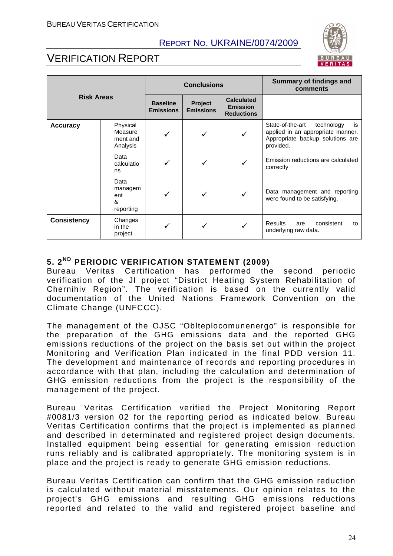

## VERIFICATION REPORT

| <b>Risk Areas</b>  |                                             | <b>Conclusions</b>                  |                             |                                                           | <b>Summary of findings and</b><br>comments                                                                                 |
|--------------------|---------------------------------------------|-------------------------------------|-----------------------------|-----------------------------------------------------------|----------------------------------------------------------------------------------------------------------------------------|
|                    |                                             | <b>Baseline</b><br><b>Emissions</b> | Project<br><b>Emissions</b> | <b>Calculated</b><br><b>Emission</b><br><b>Reductions</b> |                                                                                                                            |
| <b>Accuracy</b>    | Physical<br>Measure<br>ment and<br>Analysis |                                     |                             | ✓                                                         | State-of-the-art<br>technology<br>is<br>applied in an appropriate manner.<br>Appropriate backup solutions are<br>provided. |
|                    | Data<br>calculatio<br>ns                    |                                     |                             |                                                           | Emission reductions are calculated<br>correctly                                                                            |
|                    | Data<br>managem<br>ent<br>ጼ<br>reporting    |                                     |                             | $\checkmark$                                              | Data management and reporting<br>were found to be satisfying.                                                              |
| <b>Consistency</b> | Changes<br>in the<br>project                |                                     |                             |                                                           | <b>Results</b><br>consistent<br>are<br>to<br>underlying raw data.                                                          |

#### **5. 2ND PERIODIC VERIFICATION STATEMENT (2009)**

Bureau Veritas Certification has performed the second periodic verification of the JI project "District Heating System Rehabilitation of Chernihiv Region". The verification is based on the currently valid documentation of the United Nations Framework Convention on the Climate Change (UNFCCC).

The management of the OJSC "Oblteplocomunenergo" is responsible for the preparation of the GHG emissions data and the reported GHG emissions reductions of the project on the basis set out within the project Monitoring and Verification Plan indicated in the final PDD version 11. The development and maintenance of records and reporting procedures in accordance with that plan, including the calculation and determination of GHG emission reductions from the project is the responsibility of the management of the project.

Bureau Veritas Certification verified the Project Monitoring Report #0081/3 version 02 for the reporting period as indicated below. Bureau Veritas Certification confirms that the project is implemented as planned and described in determinated and registered project design documents. Installed equipment being essential for generating emission reduction runs reliably and is calibrated appropriately. The monitoring system is in place and the project is ready to generate GHG emission reductions.

Bureau Veritas Certification can confirm that the GHG emission reduction is calculated without material misstatements. Our opinion relates to the project's GHG emissions and resulting GHG emissions reductions reported and related to the valid and registered project baseline and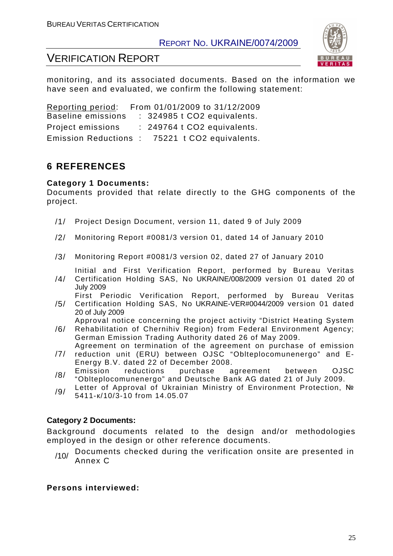

## VERIFICATION REPORT

monitoring, and its associated documents. Based on the information we have seen and evaluated, we confirm the following statement:

Reporting period: From 01/01/2009 to 31/12/2009 Baseline emissions : 324985 t CO2 equivalents. Project emissions : 249764 t CO2 equivalents. Emission Reductions : 75221 t CO2 equivalents.

## **6 REFERENCES**

#### **Category 1 Documents:**

Documents provided that relate directly to the GHG components of the project.

- /1/ Project Design Document, version 11, dated 9 of July 2009
- /2/ Monitoring Report #0081/3 version 01, dated 14 of January 2010
- /3/ Monitoring Report #0081/3 version 02, dated 27 of January 2010

Initial and First Verification Report, performed by Bureau Veritas

- /4/ Certification Holding SAS, No UKRAINE/008/2009 version 01 dated 20 of July 2009 First Periodic Verification Report, performed by Bureau Veritas
- /5/ Certification Holding SAS, No UKRAINE-VER#0044/2009 version 01 dated 20 of July 2009

Approval notice concerning the project activity "District Heating System

- /6/ Rehabilitation of Chernihiv Region) from Federal Environment Agency; German Emission Trading Authority dated 26 of May 2009. Agreement on termination of the agreement on purchase of emission
- /7/ reduction unit (ERU) between OJSC "Oblteplocomunenergo" and E-Energy B.V. dated 22 of December 2008.
- /8/ Emission reductions purchase agreement between OJSC "Oblteplocomunenergo" and Deutsche Bank AG dated 21 of July 2009.
- /9/ Letter of Approval of Ukrainian Ministry of Environment Protection, № 5411-к/10/3-10 from 14.05.07

#### **Category 2 Documents:**

Background documents related to the design and/or methodologies employed in the design or other reference documents.

/10/ Documents checked during the verification onsite are presented in Annex C

#### **Persons interviewed:**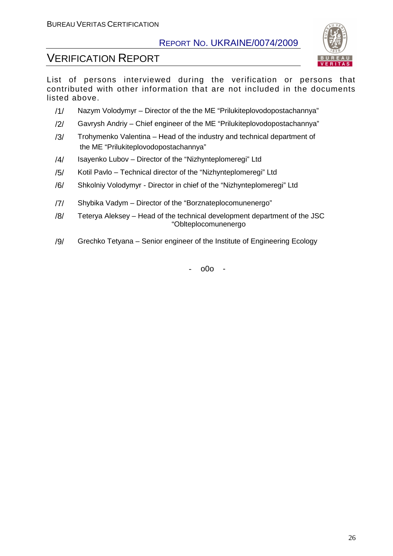

## VERIFICATION REPORT

List of persons interviewed during the verification or persons that contributed with other information that are not included in the documents listed above.

- /1/ Nazym Volodymyr Director of the the ME "Prilukiteplovodopostachannya"
- /2/ Gavrysh Andriy Chief engineer of the ME "Prilukiteplovodopostachannya"
- /3/ Trohymenko Valentina Head of the industry and technical department of the ME "Prilukiteplovodopostachannya"
- /4/ Isayenko Lubov Director of the "Nizhynteplomeregi" Ltd
- /5/ Kotil Pavlo Technical director of the "Nizhynteplomeregi" Ltd
- /6/ Shkolniy Volodymyr Director in chief of the "Nizhynteplomeregi" Ltd
- /7/ Shybika Vadym Director of the "Borznateplocomunenergo"
- /8/ Teterya Aleksey Head of the technical development department of the JSC "Oblteplocomunenergo
- /9/ Grechko Tetyana Senior engineer of the Institute of Engineering Ecology

- o0o -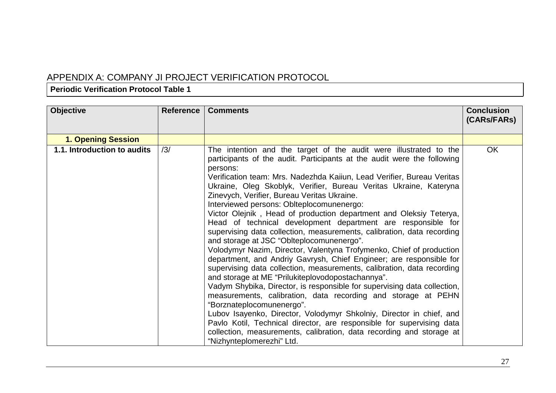## APPENDIX A: COMPANY JI PROJECT VERIFICATION PROTOCOL

#### **Periodic Verification Protocol Table 1**

| <b>Objective</b>            | <b>Reference</b> | <b>Comments</b>                                                                                                                                                                                                                                                                                                                                                                                                                                                                                                                                                                                                                                                                                                                                                                                                                                                                                                                                                                                                                                                                                                                                                                                                                                                                                                                                                                | <b>Conclusion</b><br>(CARs/FARs) |
|-----------------------------|------------------|--------------------------------------------------------------------------------------------------------------------------------------------------------------------------------------------------------------------------------------------------------------------------------------------------------------------------------------------------------------------------------------------------------------------------------------------------------------------------------------------------------------------------------------------------------------------------------------------------------------------------------------------------------------------------------------------------------------------------------------------------------------------------------------------------------------------------------------------------------------------------------------------------------------------------------------------------------------------------------------------------------------------------------------------------------------------------------------------------------------------------------------------------------------------------------------------------------------------------------------------------------------------------------------------------------------------------------------------------------------------------------|----------------------------------|
| <b>1. Opening Session</b>   |                  |                                                                                                                                                                                                                                                                                                                                                                                                                                                                                                                                                                                                                                                                                                                                                                                                                                                                                                                                                                                                                                                                                                                                                                                                                                                                                                                                                                                |                                  |
| 1.1. Introduction to audits | /3/              | The intention and the target of the audit were illustrated to the<br>participants of the audit. Participants at the audit were the following<br>persons:<br>Verification team: Mrs. Nadezhda Kaiiun, Lead Verifier, Bureau Veritas<br>Ukraine, Oleg Skoblyk, Verifier, Bureau Veritas Ukraine, Kateryna<br>Zinevych, Verifier, Bureau Veritas Ukraine.<br>Interviewed persons: Oblteplocomunenergo:<br>Victor Olejnik, Head of production department and Oleksiy Teterya,<br>Head of technical development department are responsible for<br>supervising data collection, measurements, calibration, data recording<br>and storage at JSC "Oblteplocomunenergo".<br>Volodymyr Nazim, Director, Valentyna Trofymenko, Chief of production<br>department, and Andriy Gavrysh, Chief Engineer; are responsible for<br>supervising data collection, measurements, calibration, data recording<br>and storage at ME "Prilukiteplovodopostachannya".<br>Vadym Shybika, Director, is responsible for supervising data collection,<br>measurements, calibration, data recording and storage at PEHN<br>"Borznateplocomunenergo".<br>Lubov Isayenko, Director, Volodymyr Shkolniy, Director in chief, and<br>Pavlo Kotil, Technical director, are responsible for supervising data<br>collection, measurements, calibration, data recording and storage at<br>"Nizhynteplomerezhi" Ltd. | OK                               |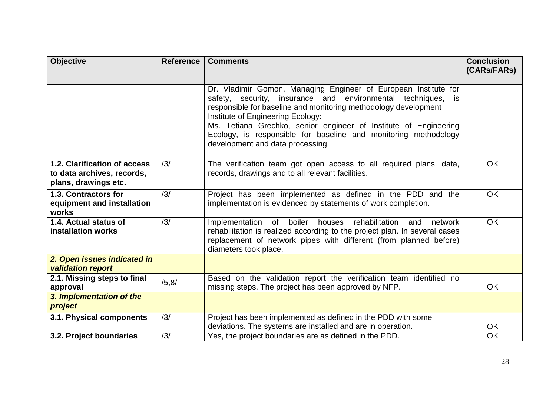| <b>Objective</b>                                                                   | <b>Reference</b> | <b>Comments</b>                                                                                                                                                                                                                                                                                                                                                                                                       | <b>Conclusion</b><br>(CARs/FARs) |
|------------------------------------------------------------------------------------|------------------|-----------------------------------------------------------------------------------------------------------------------------------------------------------------------------------------------------------------------------------------------------------------------------------------------------------------------------------------------------------------------------------------------------------------------|----------------------------------|
|                                                                                    |                  | Dr. Vladimir Gomon, Managing Engineer of European Institute for<br>safety, security, insurance and environmental techniques,<br>is<br>responsible for baseline and monitoring methodology development<br>Institute of Engineering Ecology:<br>Ms. Tetiana Grechko, senior engineer of Institute of Engineering<br>Ecology, is responsible for baseline and monitoring methodology<br>development and data processing. |                                  |
| 1.2. Clarification of access<br>to data archives, records,<br>plans, drawings etc. | /3/              | The verification team got open access to all required plans, data,<br>records, drawings and to all relevant facilities.                                                                                                                                                                                                                                                                                               | <b>OK</b>                        |
| 1.3. Contractors for<br>equipment and installation<br>works                        | /3/              | Project has been implemented as defined in the PDD and the<br>implementation is evidenced by statements of work completion.                                                                                                                                                                                                                                                                                           | <b>OK</b>                        |
| 1.4. Actual status of<br><b>installation works</b>                                 | /3/              | Implementation<br>of<br>boiler<br>rehabilitation<br>houses<br>network<br>and<br>rehabilitation is realized according to the project plan. In several cases<br>replacement of network pipes with different (from planned before)<br>diameters took place.                                                                                                                                                              | <b>OK</b>                        |
| 2. Open issues indicated in<br><b>validation report</b>                            |                  |                                                                                                                                                                                                                                                                                                                                                                                                                       |                                  |
| 2.1. Missing steps to final<br>approval                                            | /5, 8/           | Based on the validation report the verification team identified no<br>missing steps. The project has been approved by NFP.                                                                                                                                                                                                                                                                                            | <b>OK</b>                        |
| 3. Implementation of the<br>project                                                |                  |                                                                                                                                                                                                                                                                                                                                                                                                                       |                                  |
| 3.1. Physical components                                                           | /3/              | Project has been implemented as defined in the PDD with some<br>deviations. The systems are installed and are in operation.                                                                                                                                                                                                                                                                                           | <b>OK</b>                        |
| 3.2. Project boundaries                                                            | /3/              | Yes, the project boundaries are as defined in the PDD.                                                                                                                                                                                                                                                                                                                                                                | <b>OK</b>                        |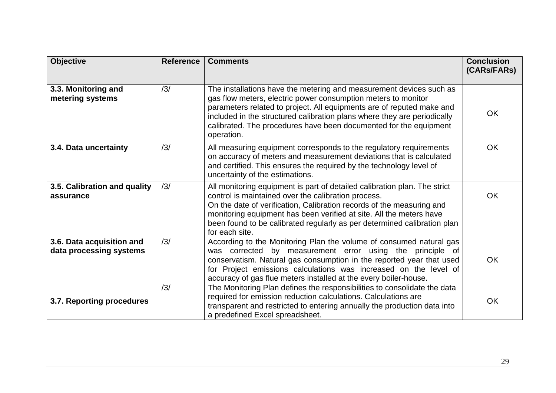| <b>Objective</b>                                     | <b>Reference</b> | <b>Comments</b>                                                                                                                                                                                                                                                                                                                                                                | <b>Conclusion</b><br>(CARs/FARs) |
|------------------------------------------------------|------------------|--------------------------------------------------------------------------------------------------------------------------------------------------------------------------------------------------------------------------------------------------------------------------------------------------------------------------------------------------------------------------------|----------------------------------|
| 3.3. Monitoring and<br>metering systems              | /3/              | The installations have the metering and measurement devices such as<br>gas flow meters, electric power consumption meters to monitor<br>parameters related to project. All equipments are of reputed make and<br>included in the structured calibration plans where they are periodically<br>calibrated. The procedures have been documented for the equipment<br>operation.   | OK                               |
| 3.4. Data uncertainty                                | /3/              | All measuring equipment corresponds to the regulatory requirements<br>on accuracy of meters and measurement deviations that is calculated<br>and certified. This ensures the required by the technology level of<br>uncertainty of the estimations.                                                                                                                            | <b>OK</b>                        |
| 3.5. Calibration and quality<br>assurance            | /3/              | All monitoring equipment is part of detailed calibration plan. The strict<br>control is maintained over the calibration process.<br>On the date of verification, Calibration records of the measuring and<br>monitoring equipment has been verified at site. All the meters have<br>been found to be calibrated regularly as per determined calibration plan<br>for each site. | <b>OK</b>                        |
| 3.6. Data acquisition and<br>data processing systems | /3/              | According to the Monitoring Plan the volume of consumed natural gas<br>was corrected by measurement error using the principle of<br>conservatism. Natural gas consumption in the reported year that used<br>for Project emissions calculations was increased on the level of<br>accuracy of gas flue meters installed at the every boiler-house.                               | OK                               |
| 3.7. Reporting procedures                            | /3/              | The Monitoring Plan defines the responsibilities to consolidate the data<br>required for emission reduction calculations. Calculations are<br>transparent and restricted to entering annually the production data into<br>a predefined Excel spreadsheet.                                                                                                                      | OK                               |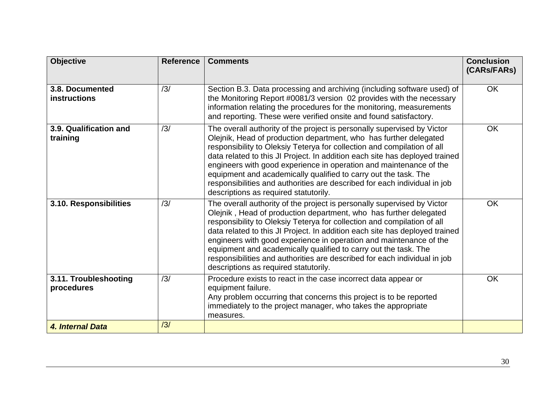| <b>Objective</b>                       | <b>Reference</b> | <b>Comments</b>                                                                                                                                                                                                                                                                                                                                                                                                                                                                                                                                                       | <b>Conclusion</b><br>(CARs/FARs) |
|----------------------------------------|------------------|-----------------------------------------------------------------------------------------------------------------------------------------------------------------------------------------------------------------------------------------------------------------------------------------------------------------------------------------------------------------------------------------------------------------------------------------------------------------------------------------------------------------------------------------------------------------------|----------------------------------|
| 3.8. Documented<br><b>instructions</b> | /3/              | Section B.3. Data processing and archiving (including software used) of<br>the Monitoring Report #0081/3 version 02 provides with the necessary<br>information relating the procedures for the monitoring, measurements<br>and reporting. These were verified onsite and found satisfactory.                                                                                                                                                                                                                                                                          | <b>OK</b>                        |
| 3.9. Qualification and<br>training     | /3/              | The overall authority of the project is personally supervised by Victor<br>Olejnik, Head of production department, who has further delegated<br>responsibility to Oleksiy Teterya for collection and compilation of all<br>data related to this JI Project. In addition each site has deployed trained<br>engineers with good experience in operation and maintenance of the<br>equipment and academically qualified to carry out the task. The<br>responsibilities and authorities are described for each individual in job<br>descriptions as required statutorily. | <b>OK</b>                        |
| 3.10. Responsibilities                 | /3/              | The overall authority of the project is personally supervised by Victor<br>Olejnik, Head of production department, who has further delegated<br>responsibility to Oleksiy Teterya for collection and compilation of all<br>data related to this JI Project. In addition each site has deployed trained<br>engineers with good experience in operation and maintenance of the<br>equipment and academically qualified to carry out the task. The<br>responsibilities and authorities are described for each individual in job<br>descriptions as required statutorily. | <b>OK</b>                        |
| 3.11. Troubleshooting<br>procedures    | /3/              | Procedure exists to react in the case incorrect data appear or<br>equipment failure.<br>Any problem occurring that concerns this project is to be reported<br>immediately to the project manager, who takes the appropriate<br>measures.                                                                                                                                                                                                                                                                                                                              | <b>OK</b>                        |
| 4. Internal Data                       | /3/              |                                                                                                                                                                                                                                                                                                                                                                                                                                                                                                                                                                       |                                  |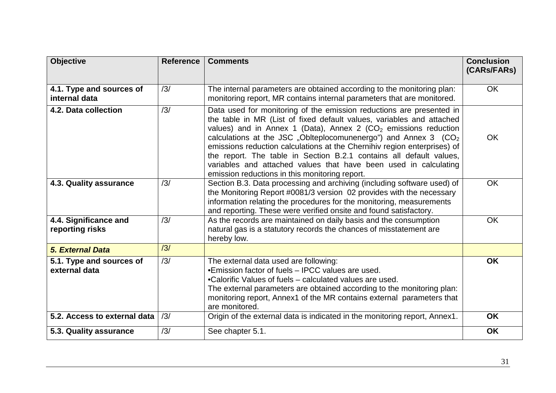| <b>Objective</b>                          | <b>Reference</b> | <b>Comments</b>                                                                                                                                                                                                                                                                                                                                                                                                                                                                                                                                                             | <b>Conclusion</b><br>(CARs/FARs) |
|-------------------------------------------|------------------|-----------------------------------------------------------------------------------------------------------------------------------------------------------------------------------------------------------------------------------------------------------------------------------------------------------------------------------------------------------------------------------------------------------------------------------------------------------------------------------------------------------------------------------------------------------------------------|----------------------------------|
| 4.1. Type and sources of<br>internal data | /3/              | The internal parameters are obtained according to the monitoring plan:<br>monitoring report, MR contains internal parameters that are monitored.                                                                                                                                                                                                                                                                                                                                                                                                                            | <b>OK</b>                        |
| 4.2. Data collection                      | /3/              | Data used for monitoring of the emission reductions are presented in<br>the table in MR (List of fixed default values, variables and attached<br>values) and in Annex 1 (Data), Annex 2 ( $CO2$ emissions reduction<br>calculations at the JSC "Oblteplocomunenergo") and Annex 3 (CO <sub>2</sub><br>emissions reduction calculations at the Chernihiv region enterprises) of<br>the report. The table in Section B.2.1 contains all default values,<br>variables and attached values that have been used in calculating<br>emission reductions in this monitoring report. | <b>OK</b>                        |
| 4.3. Quality assurance                    | /3/              | Section B.3. Data processing and archiving (including software used) of<br>the Monitoring Report #0081/3 version 02 provides with the necessary<br>information relating the procedures for the monitoring, measurements<br>and reporting. These were verified onsite and found satisfactory.                                                                                                                                                                                                                                                                                | <b>OK</b>                        |
| 4.4. Significance and<br>reporting risks  | /3/              | As the records are maintained on daily basis and the consumption<br>natural gas is a statutory records the chances of misstatement are<br>hereby low.                                                                                                                                                                                                                                                                                                                                                                                                                       | <b>OK</b>                        |
| 5. External Data                          | /3/              |                                                                                                                                                                                                                                                                                                                                                                                                                                                                                                                                                                             |                                  |
| 5.1. Type and sources of<br>external data | /3/              | The external data used are following:<br>•Emission factor of fuels – IPCC values are used.<br>•Calorific Values of fuels – calculated values are used.<br>The external parameters are obtained according to the monitoring plan:<br>monitoring report, Annex1 of the MR contains external parameters that<br>are monitored.                                                                                                                                                                                                                                                 | <b>OK</b>                        |
| 5.2. Access to external data              | /3/              | Origin of the external data is indicated in the monitoring report, Annex1.                                                                                                                                                                                                                                                                                                                                                                                                                                                                                                  | <b>OK</b>                        |
| 5.3. Quality assurance                    | /3/              | See chapter 5.1.                                                                                                                                                                                                                                                                                                                                                                                                                                                                                                                                                            | <b>OK</b>                        |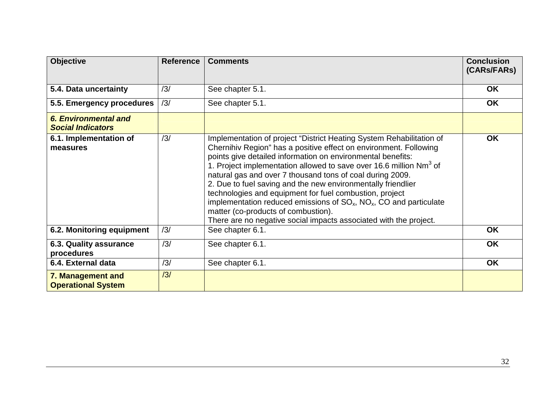| <b>Objective</b>                                 | <b>Reference</b> | <b>Comments</b>                                                                                                                                                                                                                                                                                                                                                                                                                                                                                                                                                                                                                                                                | <b>Conclusion</b><br>(CARs/FARs) |
|--------------------------------------------------|------------------|--------------------------------------------------------------------------------------------------------------------------------------------------------------------------------------------------------------------------------------------------------------------------------------------------------------------------------------------------------------------------------------------------------------------------------------------------------------------------------------------------------------------------------------------------------------------------------------------------------------------------------------------------------------------------------|----------------------------------|
| 5.4. Data uncertainty                            | /3/              | See chapter 5.1.                                                                                                                                                                                                                                                                                                                                                                                                                                                                                                                                                                                                                                                               | <b>OK</b>                        |
| 5.5. Emergency procedures                        | /3/              | See chapter 5.1.                                                                                                                                                                                                                                                                                                                                                                                                                                                                                                                                                                                                                                                               | <b>OK</b>                        |
| 6. Environmental and<br><b>Social Indicators</b> |                  |                                                                                                                                                                                                                                                                                                                                                                                                                                                                                                                                                                                                                                                                                |                                  |
| 6.1. Implementation of<br>measures               | /3/              | Implementation of project "District Heating System Rehabilitation of<br>Chernihiv Region" has a positive effect on environment. Following<br>points give detailed information on environmental benefits:<br>1. Project implementation allowed to save over 16.6 million Nm <sup>3</sup> of<br>natural gas and over 7 thousand tons of coal during 2009.<br>2. Due to fuel saving and the new environmentally friendlier<br>technologies and equipment for fuel combustion, project<br>implementation reduced emissions of $SO_{x}$ , $NO_{x}$ , CO and particulate<br>matter (co-products of combustion).<br>There are no negative social impacts associated with the project. | <b>OK</b>                        |
| 6.2. Monitoring equipment                        | /3/              | See chapter 6.1.                                                                                                                                                                                                                                                                                                                                                                                                                                                                                                                                                                                                                                                               | <b>OK</b>                        |
| 6.3. Quality assurance<br>procedures             | /3/              | See chapter 6.1.                                                                                                                                                                                                                                                                                                                                                                                                                                                                                                                                                                                                                                                               | <b>OK</b>                        |
| 6.4. External data                               | /3/              | See chapter 6.1.                                                                                                                                                                                                                                                                                                                                                                                                                                                                                                                                                                                                                                                               | <b>OK</b>                        |
| 7. Management and<br><b>Operational System</b>   | /3/              |                                                                                                                                                                                                                                                                                                                                                                                                                                                                                                                                                                                                                                                                                |                                  |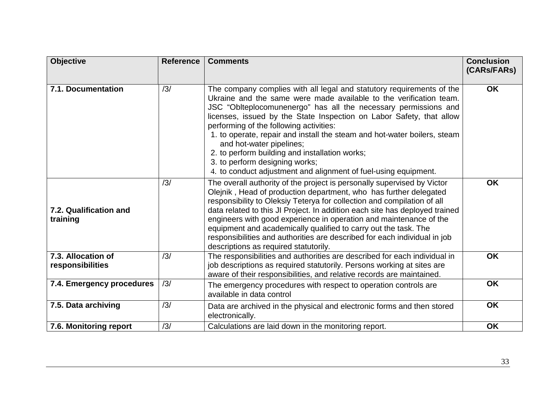| <b>Objective</b>                       | <b>Reference</b> | <b>Comments</b>                                                                                                                                                                                                                                                                                                                                                                                                                                                                                                                                                                                  | <b>Conclusion</b><br>(CARs/FARs) |
|----------------------------------------|------------------|--------------------------------------------------------------------------------------------------------------------------------------------------------------------------------------------------------------------------------------------------------------------------------------------------------------------------------------------------------------------------------------------------------------------------------------------------------------------------------------------------------------------------------------------------------------------------------------------------|----------------------------------|
| 7.1. Documentation                     | /3/              | The company complies with all legal and statutory requirements of the<br>Ukraine and the same were made available to the verification team.<br>JSC "Oblteplocomunenergo" has all the necessary permissions and<br>licenses, issued by the State Inspection on Labor Safety, that allow<br>performing of the following activities:<br>1. to operate, repair and install the steam and hot-water boilers, steam<br>and hot-water pipelines;<br>2. to perform building and installation works;<br>3. to perform designing works;<br>4. to conduct adjustment and alignment of fuel-using equipment. | <b>OK</b>                        |
| 7.2. Qualification and<br>training     | /3/              | The overall authority of the project is personally supervised by Victor<br>Olejnik, Head of production department, who has further delegated<br>responsibility to Oleksiy Teterya for collection and compilation of all<br>data related to this JI Project. In addition each site has deployed trained<br>engineers with good experience in operation and maintenance of the<br>equipment and academically qualified to carry out the task. The<br>responsibilities and authorities are described for each individual in job<br>descriptions as required statutorily.                            | <b>OK</b>                        |
| 7.3. Allocation of<br>responsibilities | /3/              | The responsibilities and authorities are described for each individual in<br>job descriptions as required statutorily. Persons working at sites are<br>aware of their responsibilities, and relative records are maintained.                                                                                                                                                                                                                                                                                                                                                                     | <b>OK</b>                        |
| 7.4. Emergency procedures              | /3/              | The emergency procedures with respect to operation controls are<br>available in data control                                                                                                                                                                                                                                                                                                                                                                                                                                                                                                     | <b>OK</b>                        |
| 7.5. Data archiving                    | /3/              | Data are archived in the physical and electronic forms and then stored<br>electronically.                                                                                                                                                                                                                                                                                                                                                                                                                                                                                                        | <b>OK</b>                        |
| 7.6. Monitoring report                 | /3/              | Calculations are laid down in the monitoring report.                                                                                                                                                                                                                                                                                                                                                                                                                                                                                                                                             | <b>OK</b>                        |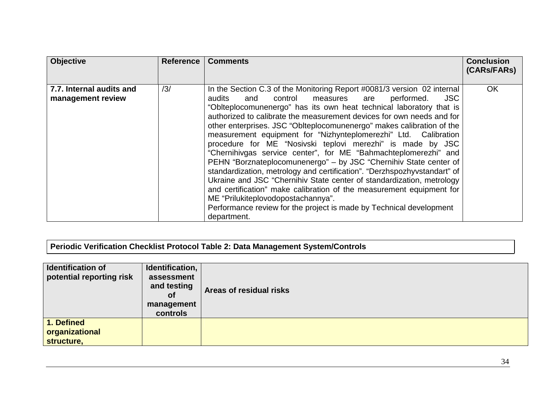| <b>Objective</b>                              | <b>Reference</b> | <b>Comments</b>                                                                                                                                                                                                                                                                                                                                                                                                                                                                                                                                                                                                                                                                                                                                                                                                                                                                                                                                                                                         | <b>Conclusion</b><br>(CARS/FARS) |
|-----------------------------------------------|------------------|---------------------------------------------------------------------------------------------------------------------------------------------------------------------------------------------------------------------------------------------------------------------------------------------------------------------------------------------------------------------------------------------------------------------------------------------------------------------------------------------------------------------------------------------------------------------------------------------------------------------------------------------------------------------------------------------------------------------------------------------------------------------------------------------------------------------------------------------------------------------------------------------------------------------------------------------------------------------------------------------------------|----------------------------------|
| 7.7. Internal audits and<br>management review | /3/              | In the Section C.3 of the Monitoring Report #0081/3 version 02 internal<br>and control<br>measures are<br>performed.<br><b>JSC</b><br>audits<br>"Oblteplocomunenergo" has its own heat technical laboratory that is<br>authorized to calibrate the measurement devices for own needs and for<br>other enterprises. JSC "Oblteplocomunenergo" makes calibration of the<br>measurement equipment for "Nizhynteplomerezhi" Ltd. Calibration<br>procedure for ME "Nosivski teplovi merezhi" is made by JSC<br>"Chernihivgas service center", for ME "Bahmachteplomerezhi" and<br>PEHN "Borznateplocomunenergo" - by JSC "Chernihiv State center of<br>standardization, metrology and certification". "Derzhspozhyvstandart" of<br>Ukraine and JSC "Chernihiv State center of standardization, metrology<br>and certification" make calibration of the measurement equipment for<br>ME "Prilukiteplovodopostachannya".<br>Performance review for the project is made by Technical development<br>department. | <b>OK</b>                        |

**Periodic Verification Checklist Protocol Table 2: Data Management System/Controls** 

| <b>Identification of</b><br>potential reporting risk | Identification,<br>assessment<br>and testing<br><b>of</b><br>management<br>controls | Areas of residual risks |
|------------------------------------------------------|-------------------------------------------------------------------------------------|-------------------------|
| 1. Defined<br>organizational<br>structure,           |                                                                                     |                         |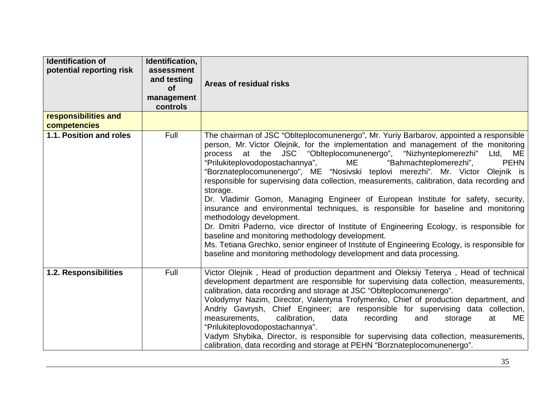| <b>Identification of</b><br>potential reporting risk | Identification,<br>assessment<br>and testing<br><b>of</b><br>management<br>controls | Areas of residual risks                                                                                                                                                                                                                                                                                                                                                                                                                                                                                                                                                                                                                                                                                                                                                                                                                                                                                                                                                                                                                                                  |
|------------------------------------------------------|-------------------------------------------------------------------------------------|--------------------------------------------------------------------------------------------------------------------------------------------------------------------------------------------------------------------------------------------------------------------------------------------------------------------------------------------------------------------------------------------------------------------------------------------------------------------------------------------------------------------------------------------------------------------------------------------------------------------------------------------------------------------------------------------------------------------------------------------------------------------------------------------------------------------------------------------------------------------------------------------------------------------------------------------------------------------------------------------------------------------------------------------------------------------------|
| responsibilities and<br>competencies                 |                                                                                     |                                                                                                                                                                                                                                                                                                                                                                                                                                                                                                                                                                                                                                                                                                                                                                                                                                                                                                                                                                                                                                                                          |
| 1.1. Position and roles                              | Full                                                                                | The chairman of JSC "Oblteplocomunenergo", Mr. Yuriy Barbarov, appointed a responsible<br>person, Mr. Victor Olejnik, for the implementation and management of the monitoring<br>process at the JSC "Oblteplocomunenergo", "Nizhynteplomerezhi"<br>Ltd, ME<br>"Prilukiteplovodopostachannya",<br>ME<br><b>PEHN</b><br>"Bahmachteplomerezhi",<br>"Borznateplocomunenergo", ME "Nosivski teplovi merezhi". Mr. Victor Olejnik is<br>responsible for supervising data collection, measurements, calibration, data recording and<br>storage.<br>Dr. Vladimir Gomon, Managing Engineer of European Institute for safety, security,<br>insurance and environmental techniques, is responsible for baseline and monitoring<br>methodology development.<br>Dr. Dmitri Paderno, vice director of Institute of Engineering Ecology, is responsible for<br>baseline and monitoring methodology development.<br>Ms. Tetiana Grechko, senior engineer of Institute of Engineering Ecology, is responsible for<br>baseline and monitoring methodology development and data processing. |
| 1.2. Responsibilities                                | Full                                                                                | Victor Olejnik, Head of production department and Oleksiy Teterya, Head of technical<br>development department are responsible for supervising data collection, measurements,<br>calibration, data recording and storage at JSC "Oblteplocomunenergo".<br>Volodymyr Nazim, Director, Valentyna Trofymenko, Chief of production department, and<br>Andriy Gavrysh, Chief Engineer; are responsible for supervising data collection,<br>measurements,<br>calibration,<br>ME<br>data<br>recording<br>at<br>and<br>storage<br>"Prilukiteplovodopostachannya".<br>Vadym Shybika, Director, is responsible for supervising data collection, measurements,<br>calibration, data recording and storage at PEHN "Borznateplocomunenergo".                                                                                                                                                                                                                                                                                                                                         |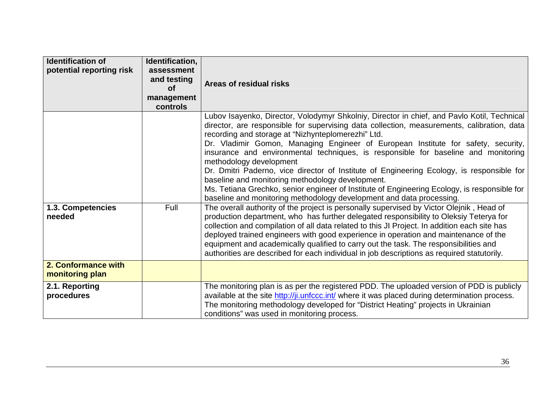| <b>Identification of</b><br>potential reporting risk | Identification,<br>assessment<br>and testing<br><b>of</b><br>management<br>controls | Areas of residual risks                                                                                                                                                                                                                                                                                                                                                                                                                                                                                                                                                                                                                                                                                                                                                                                                                                                                                                                                                                                                                                                                                                                                                                                                                                                                                                                           |
|------------------------------------------------------|-------------------------------------------------------------------------------------|---------------------------------------------------------------------------------------------------------------------------------------------------------------------------------------------------------------------------------------------------------------------------------------------------------------------------------------------------------------------------------------------------------------------------------------------------------------------------------------------------------------------------------------------------------------------------------------------------------------------------------------------------------------------------------------------------------------------------------------------------------------------------------------------------------------------------------------------------------------------------------------------------------------------------------------------------------------------------------------------------------------------------------------------------------------------------------------------------------------------------------------------------------------------------------------------------------------------------------------------------------------------------------------------------------------------------------------------------|
| 1.3. Competencies<br>needed                          | Full                                                                                | Lubov Isayenko, Director, Volodymyr Shkolniy, Director in chief, and Pavlo Kotil, Technical<br>director, are responsible for supervising data collection, measurements, calibration, data<br>recording and storage at "Nizhynteplomerezhi" Ltd.<br>Dr. Vladimir Gomon, Managing Engineer of European Institute for safety, security,<br>insurance and environmental techniques, is responsible for baseline and monitoring<br>methodology development<br>Dr. Dmitri Paderno, vice director of Institute of Engineering Ecology, is responsible for<br>baseline and monitoring methodology development.<br>Ms. Tetiana Grechko, senior engineer of Institute of Engineering Ecology, is responsible for<br>baseline and monitoring methodology development and data processing.<br>The overall authority of the project is personally supervised by Victor Olejnik, Head of<br>production department, who has further delegated responsibility to Oleksiy Teterya for<br>collection and compilation of all data related to this JI Project. In addition each site has<br>deployed trained engineers with good experience in operation and maintenance of the<br>equipment and academically qualified to carry out the task. The responsibilities and<br>authorities are described for each individual in job descriptions as required statutorily. |
| 2. Conformance with<br>monitoring plan               |                                                                                     |                                                                                                                                                                                                                                                                                                                                                                                                                                                                                                                                                                                                                                                                                                                                                                                                                                                                                                                                                                                                                                                                                                                                                                                                                                                                                                                                                   |
| 2.1. Reporting<br>procedures                         |                                                                                     | The monitoring plan is as per the registered PDD. The uploaded version of PDD is publicly<br>available at the site http://ji.unfccc.int/ where it was placed during determination process.<br>The monitoring methodology developed for "District Heating" projects in Ukrainian<br>conditions" was used in monitoring process.                                                                                                                                                                                                                                                                                                                                                                                                                                                                                                                                                                                                                                                                                                                                                                                                                                                                                                                                                                                                                    |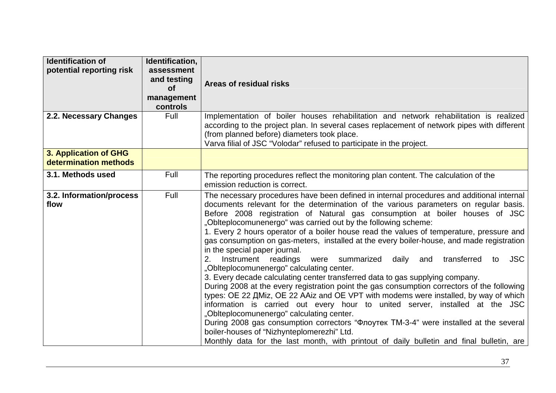| <b>Identification of</b><br>potential reporting risk | Identification,<br>assessment<br>and testing<br><b>of</b><br>management<br>controls | Areas of residual risks                                                                                                                                                                                                                                                                                                                                                                                                                                                                                                                                                                                                                                                                                                                                                                                                                                                                                                                                                                                                                                                                                                                                                                                                                                                                                                                           |
|------------------------------------------------------|-------------------------------------------------------------------------------------|---------------------------------------------------------------------------------------------------------------------------------------------------------------------------------------------------------------------------------------------------------------------------------------------------------------------------------------------------------------------------------------------------------------------------------------------------------------------------------------------------------------------------------------------------------------------------------------------------------------------------------------------------------------------------------------------------------------------------------------------------------------------------------------------------------------------------------------------------------------------------------------------------------------------------------------------------------------------------------------------------------------------------------------------------------------------------------------------------------------------------------------------------------------------------------------------------------------------------------------------------------------------------------------------------------------------------------------------------|
| 2.2. Necessary Changes                               | Full                                                                                | Implementation of boiler houses rehabilitation and network rehabilitation is realized<br>according to the project plan. In several cases replacement of network pipes with different<br>(from planned before) diameters took place.<br>Varva filial of JSC "Volodar" refused to participate in the project.                                                                                                                                                                                                                                                                                                                                                                                                                                                                                                                                                                                                                                                                                                                                                                                                                                                                                                                                                                                                                                       |
| 3. Application of GHG<br>determination methods       |                                                                                     |                                                                                                                                                                                                                                                                                                                                                                                                                                                                                                                                                                                                                                                                                                                                                                                                                                                                                                                                                                                                                                                                                                                                                                                                                                                                                                                                                   |
| 3.1. Methods used                                    | Full                                                                                | The reporting procedures reflect the monitoring plan content. The calculation of the<br>emission reduction is correct.                                                                                                                                                                                                                                                                                                                                                                                                                                                                                                                                                                                                                                                                                                                                                                                                                                                                                                                                                                                                                                                                                                                                                                                                                            |
| 3.2. Information/process<br>flow                     | Full                                                                                | The necessary procedures have been defined in internal procedures and additional internal<br>documents relevant for the determination of the various parameters on regular basis.<br>Before 2008 registration of Natural gas consumption at boiler houses of JSC<br>"Oblteplocomunenergo" was carried out by the following scheme:<br>1. Every 2 hours operator of a boiler house read the values of temperature, pressure and<br>gas consumption on gas-meters, installed at the every boiler-house, and made registration<br>in the special paper journal.<br>Instrument readings were summarized<br>daily<br>transferred<br><b>JSC</b><br>2.<br>and<br>to<br>"Oblteplocomunenergo" calculating center.<br>3. Every decade calculating center transferred data to gas supplying company.<br>During 2008 at the every registration point the gas consumption correctors of the following<br>types: OE 22 ДMiz, OE 22 AAiz and OE VPT with modems were installed, by way of which<br>information is carried out every hour to united server, installed at the JSC<br>"Oblteplocomunenergo" calculating center.<br>During 2008 gas consumption correctors "Флоутек ТМ-3-4" were installed at the several<br>boiler-houses of "Nizhynteplomerezhi" Ltd.<br>Monthly data for the last month, with printout of daily bulletin and final bulletin, are |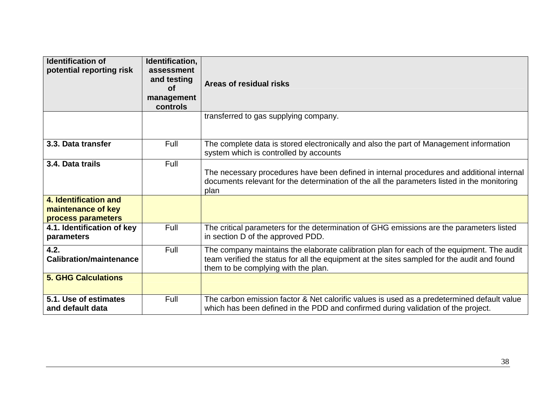| <b>Identification of</b><br>potential reporting risk              | Identification,<br>assessment<br>and testing<br><b>of</b><br>management<br>controls | Areas of residual risks                                                                                                                                                                                                         |
|-------------------------------------------------------------------|-------------------------------------------------------------------------------------|---------------------------------------------------------------------------------------------------------------------------------------------------------------------------------------------------------------------------------|
|                                                                   |                                                                                     | transferred to gas supplying company.                                                                                                                                                                                           |
| 3.3. Data transfer                                                | Full                                                                                | The complete data is stored electronically and also the part of Management information<br>system which is controlled by accounts                                                                                                |
| 3.4. Data trails                                                  | Full                                                                                | The necessary procedures have been defined in internal procedures and additional internal<br>documents relevant for the determination of the all the parameters listed in the monitoring<br>plan                                |
| 4. Identification and<br>maintenance of key<br>process parameters |                                                                                     |                                                                                                                                                                                                                                 |
| 4.1. Identification of key<br>parameters                          | Full                                                                                | The critical parameters for the determination of GHG emissions are the parameters listed<br>in section D of the approved PDD.                                                                                                   |
| 4.2.<br><b>Calibration/maintenance</b>                            | Full                                                                                | The company maintains the elaborate calibration plan for each of the equipment. The audit<br>team verified the status for all the equipment at the sites sampled for the audit and found<br>them to be complying with the plan. |
| <b>5. GHG Calculations</b>                                        |                                                                                     |                                                                                                                                                                                                                                 |
| 5.1. Use of estimates<br>and default data                         | Full                                                                                | The carbon emission factor & Net calorific values is used as a predetermined default value<br>which has been defined in the PDD and confirmed during validation of the project.                                                 |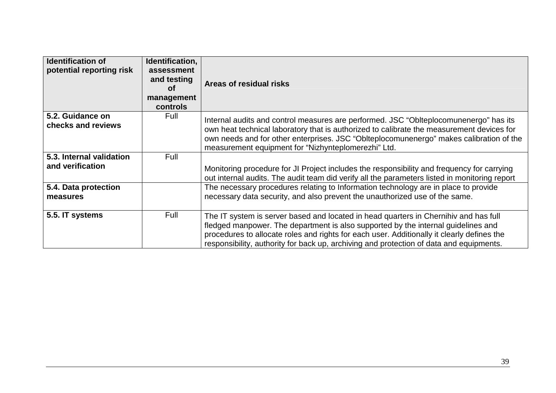| <b>Identification of</b><br>potential reporting risk | Identification,<br>assessment<br>and testing<br>Οf<br>management<br>controls | Areas of residual risks                                                                                                                                                                                                                                                                                                                                            |
|------------------------------------------------------|------------------------------------------------------------------------------|--------------------------------------------------------------------------------------------------------------------------------------------------------------------------------------------------------------------------------------------------------------------------------------------------------------------------------------------------------------------|
| 5.2. Guidance on<br>checks and reviews               | Full                                                                         | Internal audits and control measures are performed. JSC "Oblteplocomunenergo" has its<br>own heat technical laboratory that is authorized to calibrate the measurement devices for<br>own needs and for other enterprises. JSC "Oblteplocomunenergo" makes calibration of the<br>measurement equipment for "Nizhynteplomerezhi" Ltd.                               |
| 5.3. Internal validation<br>and verification         | Full                                                                         | Monitoring procedure for JI Project includes the responsibility and frequency for carrying<br>out internal audits. The audit team did verify all the parameters listed in monitoring report                                                                                                                                                                        |
| 5.4. Data protection<br>measures                     |                                                                              | The necessary procedures relating to Information technology are in place to provide<br>necessary data security, and also prevent the unauthorized use of the same.                                                                                                                                                                                                 |
| 5.5. IT systems                                      | Full                                                                         | The IT system is server based and located in head quarters in Chernihiv and has full<br>fledged manpower. The department is also supported by the internal guidelines and<br>procedures to allocate roles and rights for each user. Additionally it clearly defines the<br>responsibility, authority for back up, archiving and protection of data and equipments. |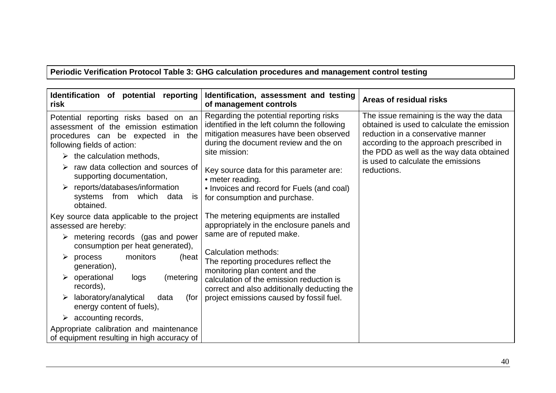**Periodic Verification Protocol Table 3: GHG calculation procedures and management control testing** 

| Identification of potential reporting<br>risk                                                                                                                                                   | Identification, assessment and testing<br>of management controls                                                                                                                           | Areas of residual risks                                                                                                                                                                                                                                  |
|-------------------------------------------------------------------------------------------------------------------------------------------------------------------------------------------------|--------------------------------------------------------------------------------------------------------------------------------------------------------------------------------------------|----------------------------------------------------------------------------------------------------------------------------------------------------------------------------------------------------------------------------------------------------------|
| Potential reporting risks based on an<br>assessment of the emission estimation<br>procedures can be expected in the<br>following fields of action:<br>$\triangleright$ the calculation methods, | Regarding the potential reporting risks<br>identified in the left column the following<br>mitigation measures have been observed<br>during the document review and the on<br>site mission: | The issue remaining is the way the data<br>obtained is used to calculate the emission<br>reduction in a conservative manner<br>according to the approach prescribed in<br>the PDD as well as the way data obtained<br>is used to calculate the emissions |
| raw data collection and sources of<br>supporting documentation,                                                                                                                                 | Key source data for this parameter are:<br>• meter reading.                                                                                                                                | reductions.                                                                                                                                                                                                                                              |
| reports/databases/information<br>which<br>from<br>systems<br>data<br>IS<br>obtained.                                                                                                            | • Invoices and record for Fuels (and coal)<br>for consumption and purchase.                                                                                                                |                                                                                                                                                                                                                                                          |
| Key source data applicable to the project<br>assessed are hereby:                                                                                                                               | The metering equipments are installed<br>appropriately in the enclosure panels and                                                                                                         |                                                                                                                                                                                                                                                          |
| metering records (gas and power<br>➤<br>consumption per heat generated),                                                                                                                        | same are of reputed make.                                                                                                                                                                  |                                                                                                                                                                                                                                                          |
| monitors<br>(heat<br>process<br>➤<br>generation),                                                                                                                                               | Calculation methods:<br>The reporting procedures reflect the<br>monitoring plan content and the                                                                                            |                                                                                                                                                                                                                                                          |
| (metering<br>$\triangleright$ operational<br>logs<br>records),                                                                                                                                  | calculation of the emission reduction is<br>correct and also additionally deducting the                                                                                                    |                                                                                                                                                                                                                                                          |
| laboratory/analytical<br>data<br>(for<br>➤<br>energy content of fuels),                                                                                                                         | project emissions caused by fossil fuel.                                                                                                                                                   |                                                                                                                                                                                                                                                          |
| $\triangleright$ accounting records,                                                                                                                                                            |                                                                                                                                                                                            |                                                                                                                                                                                                                                                          |
| Appropriate calibration and maintenance<br>of equipment resulting in high accuracy of                                                                                                           |                                                                                                                                                                                            |                                                                                                                                                                                                                                                          |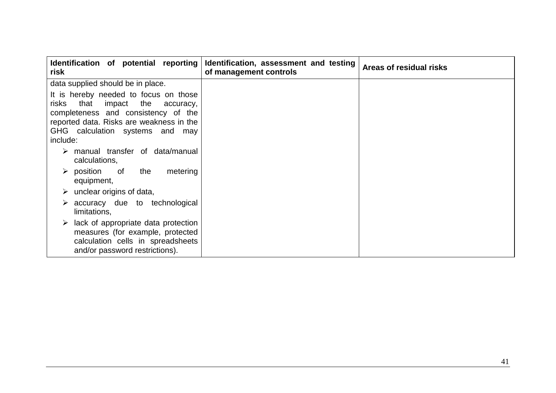| Identification of potential reporting<br>risk                                                                                                                                                                       | Identification, assessment and testing<br>of management controls | Areas of residual risks |
|---------------------------------------------------------------------------------------------------------------------------------------------------------------------------------------------------------------------|------------------------------------------------------------------|-------------------------|
| data supplied should be in place.                                                                                                                                                                                   |                                                                  |                         |
| It is hereby needed to focus on those<br>that<br>impact the<br>risks<br>accuracy,<br>completeness and consistency of the<br>reported data. Risks are weakness in the<br>GHG calculation systems and may<br>include: |                                                                  |                         |
| manual transfer of data/manual<br>➤<br>calculations,                                                                                                                                                                |                                                                  |                         |
| $\triangleright$ position of<br>the<br>metering<br>equipment,                                                                                                                                                       |                                                                  |                         |
| $\triangleright$ unclear origins of data,                                                                                                                                                                           |                                                                  |                         |
| $\triangleright$ accuracy due to technological<br>limitations,                                                                                                                                                      |                                                                  |                         |
| $\triangleright$ lack of appropriate data protection<br>measures (for example, protected<br>calculation cells in spreadsheets<br>and/or password restrictions).                                                     |                                                                  |                         |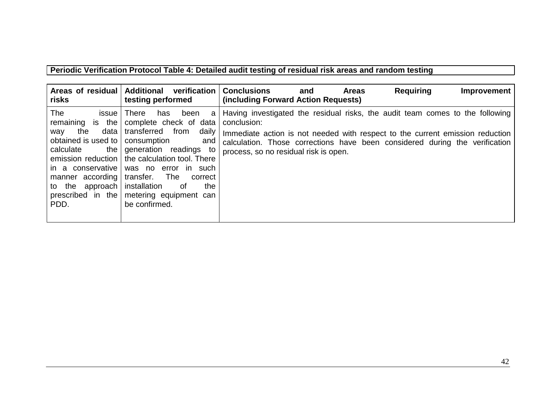#### **Periodic Verification Protocol Table 4: Detailed audit testing of residual risk areas and random testing**

| Areas of residual   Additional<br>risks                                                                                                                                                               | verification<br>testing performed                                                                                                                                                                                                                                                                                             | <b>Conclusions</b><br><b>Requiring</b><br><b>Improvement</b><br>and<br><b>Areas</b><br>(including Forward Action Requests)                                                                                                                                                                            |
|-------------------------------------------------------------------------------------------------------------------------------------------------------------------------------------------------------|-------------------------------------------------------------------------------------------------------------------------------------------------------------------------------------------------------------------------------------------------------------------------------------------------------------------------------|-------------------------------------------------------------------------------------------------------------------------------------------------------------------------------------------------------------------------------------------------------------------------------------------------------|
| The<br>issue I<br>remaining is the<br>data  <br>the<br>wav<br>obtained is used to<br>calculate<br>the I<br>in a conservative<br>manner according<br>to the<br>approach  <br>prescribed in the<br>PDD. | <b>There</b><br>has<br>been<br>a<br>complete check of data<br>transferred<br>from<br>daily<br>consumption<br>and<br>generation readings to<br>emission reduction   the calculation tool. There<br>was no error in such<br>The<br>transfer.<br>correct<br>installation<br>the<br>0t<br>metering equipment can<br>be confirmed. | Having investigated the residual risks, the audit team comes to the following<br>conclusion:<br>Immediate action is not needed with respect to the current emission reduction<br>calculation. Those corrections have been considered during the verification<br>process, so no residual risk is open. |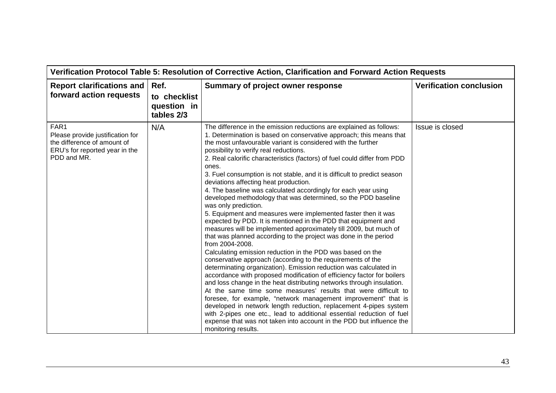| Verification Protocol Table 5: Resolution of Corrective Action, Clarification and Forward Action Requests                |                                                   |                                                                                                                                                                                                                                                                                                                                                                                                                                                                                                                                                                                                                                                                                                                                                                                                                                                                                                                                                                                                                                                                                                                                                                                                                                                                                                                                                                                                                                                                                                                                                                                                                                                                  |                                |  |
|--------------------------------------------------------------------------------------------------------------------------|---------------------------------------------------|------------------------------------------------------------------------------------------------------------------------------------------------------------------------------------------------------------------------------------------------------------------------------------------------------------------------------------------------------------------------------------------------------------------------------------------------------------------------------------------------------------------------------------------------------------------------------------------------------------------------------------------------------------------------------------------------------------------------------------------------------------------------------------------------------------------------------------------------------------------------------------------------------------------------------------------------------------------------------------------------------------------------------------------------------------------------------------------------------------------------------------------------------------------------------------------------------------------------------------------------------------------------------------------------------------------------------------------------------------------------------------------------------------------------------------------------------------------------------------------------------------------------------------------------------------------------------------------------------------------------------------------------------------------|--------------------------------|--|
| <b>Report clarifications and</b><br>forward action requests                                                              | Ref.<br>to checklist<br>question in<br>tables 2/3 | Summary of project owner response                                                                                                                                                                                                                                                                                                                                                                                                                                                                                                                                                                                                                                                                                                                                                                                                                                                                                                                                                                                                                                                                                                                                                                                                                                                                                                                                                                                                                                                                                                                                                                                                                                | <b>Verification conclusion</b> |  |
| FAR1<br>Please provide justification for<br>the difference of amount of<br>ERU's for reported year in the<br>PDD and MR. | N/A                                               | The difference in the emission reductions are explained as follows:<br>1. Determination is based on conservative approach; this means that<br>the most unfavourable variant is considered with the further<br>possibility to verify real reductions.<br>2. Real calorific characteristics (factors) of fuel could differ from PDD<br>ones.<br>3. Fuel consumption is not stable, and it is difficult to predict season<br>deviations affecting heat production.<br>4. The baseline was calculated accordingly for each year using<br>developed methodology that was determined, so the PDD baseline<br>was only prediction.<br>5. Equipment and measures were implemented faster then it was<br>expected by PDD. It is mentioned in the PDD that equipment and<br>measures will be implemented approximately till 2009, but much of<br>that was planned according to the project was done in the period<br>from 2004-2008.<br>Calculating emission reduction in the PDD was based on the<br>conservative approach (according to the requirements of the<br>determinating organization). Emission reduction was calculated in<br>accordance with proposed modification of efficiency factor for boilers<br>and loss change in the heat distributing networks through insulation.<br>At the same time some measures' results that were difficult to<br>foresee, for example, "network management improvement" that is<br>developed in network length reduction, replacement 4-pipes system<br>with 2-pipes one etc., lead to additional essential reduction of fuel<br>expense that was not taken into account in the PDD but influence the<br>monitoring results. | Issue is closed                |  |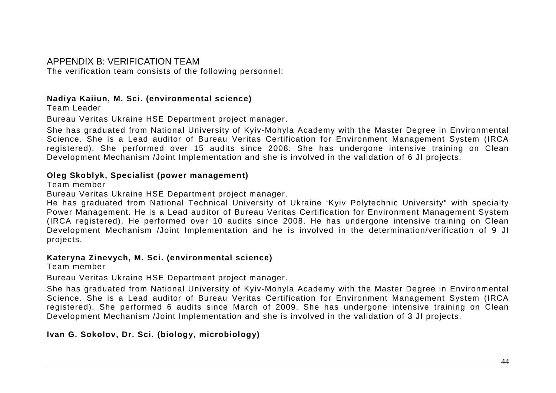#### APPENDIX B: VERIFICATION TEAM

The verification team consists of the following personnel:

#### **Nadiya Kaiiun, M. Sci. (environmental science)**

Team Leader

Bureau Veritas Ukraine HSE Department project manager.

She has graduated from National University of Kyiv-Mohyla Academy with the Master Degree in Environmental Science. She is a Lead auditor of Bureau Veritas Certification for Environment Management System (IRCA registered). She performed over 15 audits since 2008. She has undergone intensive training on Clean Development Mechanism /Joint Implementation and she is involved in the validation of 6 JI projects.

#### **Oleg Skoblyk, Specialist (power management)**

Team member

Bureau Veritas Ukraine HSE Department project manager.

 He has graduated from National Technical University of Ukraine 'Kyiv Polytechnic University" with specialty Power Management. He is a Lead auditor of Bureau Veritas Certification for Environment Management System (IRCA registered). He performed over 10 audits since 2008. He has undergone intensive training on Clean Development Mechanism /Joint Implementation and he is involved in the determination/verification of 9 JI projects.

#### **Kateryna Zinevych, M. Sci. (environmental science)**

Team member

Bureau Veritas Ukraine HSE Department project manager.

She has graduated from National University of Kyiv-Mohyla Academy with the Master Degree in Environmental Science. She is a Lead auditor of Bureau Veritas Certification for Environment Management System (IRCA registered). She performed 6 audits since March of 2009. She has undergone intensive training on CleanDevelopment Mechanism /Joint Implementation and she is involved in the validation of 3 JI projects.

**Ivan G. Sokolov, Dr. Sci. (biology, microbiology)**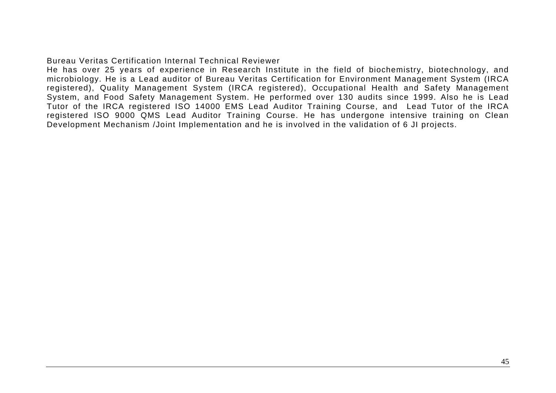#### Bureau Veritas Certification Internal Technical Reviewer

 He has over 25 years of experience in Research Institute in the field of biochemistry, biotechnology, and microbiology. He is a Lead auditor of Bureau Veritas Certification for Environment Management System (IRCA registered), Quality Management System (IRCA registered), Occupational Health and Safety Management System, and Food Safety Management System. He performed over 130 audits since 1999. Also he is Lead Tutor of the IRCA registered ISO 14000 EMS Lead Auditor Training Course, and Lead Tutor of the IRCA registered ISO 9000 QMS Lead Auditor Training Course. He has undergone intensive training on Clean Development Mechanism /Joint Implementation and he is involved in the validation of 6 JI projects.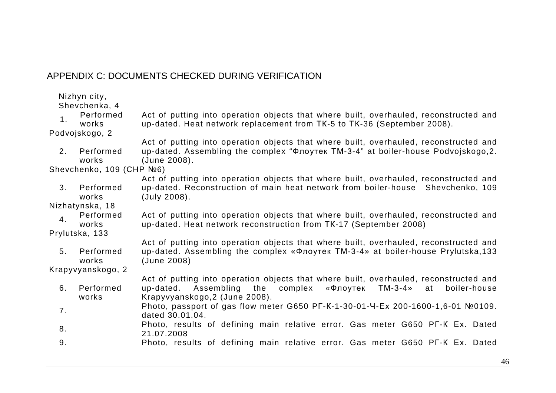## APPENDIX C: DOCUMENTS CHECKED DURING VERIFICATION

Shevchenka, 4

| Performed | Act of putting into operation objects that where built, overhauled, reconstructed and |
|-----------|---------------------------------------------------------------------------------------|
| works     | up-dated. Heat network replacement from TK-5 to TK-36 (September 2008).               |

Podvojskogo, 2

2. Performed works Act of putting into operation objects that where built, overhauled, reconstructed and up-dated. Assembling the complex "Флоутек ТМ-3-4" at boiler-house Podvojskogo,2. (June 2008).

Shevchenko, 109 (CHP №6)

 Act of putting into operation objects that where built, overhauled, reconstructed and 3. Performed works up-dated. Reconstruction of main heat network from boiler-house Shevchenko, 109 (July 2008).

Nizhatynska, 18

Performed 4. Performed Act of putting into operation objects that where built, overhauled, reconstructed and up-dated. Heat network reconstruction from TK-17 (September 2008)

Prylutska, 133

5. Performed works Act of putting into operation objects that where built, overhauled, reconstructed and up-dated. Assembling the complex «Флоутек ТМ-3-4» at boiler-house Prylutska,133 (June 2008)

Krapyvyanskogo, 2

- 6. Performed works Act of putting into operation objects that where built, overhauled, reconstructed and hoiler-house up-dated. Assembling the complex «Флоутек TM-3-4» at Krapyvyanskogo,2 (June 2008).
- 7. Photo, passport of gas flow meter G650 PГ-К-1-30-01-Ч-Ех 200-1600-1,6-01 №0109. dated 30.01.04.
- 8. Photo, results of defining main relative error. Gas meter G650 PГ-К Ех. Dated 21.07.2008
- 9. Photo, results of defining main relative error. Gas meter G650 PГ-К Ех. Dated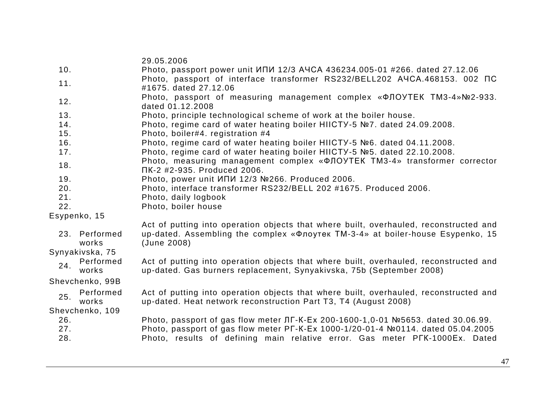|     |                        | 29.05.2006                                                                                                                                                    |
|-----|------------------------|---------------------------------------------------------------------------------------------------------------------------------------------------------------|
| 10. |                        | Photo, passport power unit ИПИ 12/3 АЧСА 436234.005-01 #266. dated 27.12.06                                                                                   |
| 11. |                        | Photo, passport of interface transformer RS232/BELL202 A4CA.468153. 002 NC                                                                                    |
|     |                        | #1675, dated 27,12.06                                                                                                                                         |
| 12. |                        | Photo, passport of measuring management complex «ΦЛОУТЕК ТМЗ-4»№2-933.<br>dated 01.12.2008                                                                    |
| 13. |                        | Photo, principle technological scheme of work at the boiler house.                                                                                            |
| 14. |                        | Photo, regime card of water heating boiler HIICTY-5 №7. dated 24.09.2008.                                                                                     |
| 15. |                        | Photo, boiler#4. registration #4                                                                                                                              |
| 16. |                        | Photo, regime card of water heating boiler HIICTY-5 №6. dated 04.11.2008.                                                                                     |
| 17. |                        | Photo, regime card of water heating boiler HIICTY-5 №5. dated 22.10.2008.                                                                                     |
| 18. |                        | Photo, measuring management complex « $\Phi$ JOYTEK TM3-4» transformer corrector<br>ПК-2 #2-935. Produced 2006.                                               |
| 19. |                        | Photo, power unit ИПИ 12/3 №266. Produced 2006.                                                                                                               |
| 20. |                        | Photo, interface transformer RS232/BELL 202 #1675. Produced 2006.                                                                                             |
| 21. |                        | Photo, daily logbook                                                                                                                                          |
| 22. |                        | Photo, boiler house                                                                                                                                           |
|     | Esypenko, 15           |                                                                                                                                                               |
|     |                        | Act of putting into operation objects that where built, overhauled, reconstructed and                                                                         |
|     | 23. Performed<br>works | up-dated. Assembling the complex «Флоутек ТМ-3-4» at boiler-house Esypenko, 15<br>(June 2008)                                                                 |
|     | Synyakivska, 75        |                                                                                                                                                               |
| 24. | Performed<br>works     | Act of putting into operation objects that where built, overhauled, reconstructed and<br>up-dated. Gas burners replacement, Synyakivska, 75b (September 2008) |
|     | Shevchenko, 99B        |                                                                                                                                                               |
|     | Performed              | Act of putting into operation objects that where built, overhauled, reconstructed and                                                                         |
| 25. | works                  | up-dated. Heat network reconstruction Part T3, T4 (August 2008)                                                                                               |
|     | Shevchenko, 109        |                                                                                                                                                               |
| 26. |                        | Photo, passport of gas flow meter JIF-K-Ex 200-1600-1,0-01 №5653. dated 30.06.99.                                                                             |
| 27. |                        | Photo, passport of gas flow meter PF-K-Ex 1000-1/20-01-4 №0114. dated 05.04.2005                                                                              |
| 28. |                        | Photo, results of defining main relative error. Gas meter PFK-1000Ex. Dated                                                                                   |
|     |                        |                                                                                                                                                               |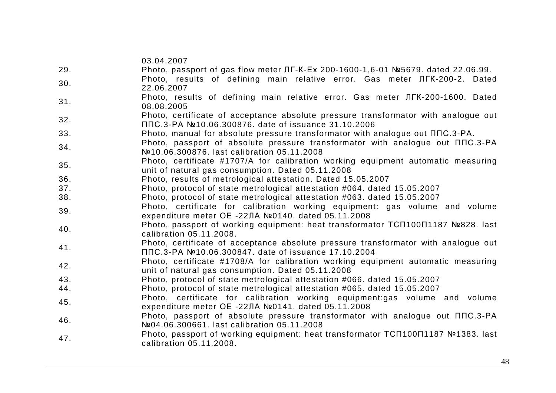|     | 03.04.2007                                                                                                                                |
|-----|-------------------------------------------------------------------------------------------------------------------------------------------|
| 29. | Photo, passport of gas flow meter JIF-K-Ex 200-1600-1,6-01 №5679. dated 22.06.99.                                                         |
| 30. | Photo, results of defining main relative error. Gas meter JIFK-200-2. Dated<br>22.06.2007                                                 |
| 31. | Photo, results of defining main relative error. Gas meter JIFK-200-1600. Dated<br>08.08.2005                                              |
| 32. | Photo, certificate of acceptance absolute pressure transformator with analogue out<br>ППС.3-РА №10.06.300876. date of issuance 31.10.2006 |
| 33. | Photo, manual for absolute pressure transformator with analogue out $\Pi \Pi C.3$ -PA.                                                    |
| 34. | Photo, passport of absolute pressure transformator with analogue out $\Pi \Pi C.3-PA$<br>Nº10.06.300876. last calibration 05.11.2008      |
| 35. | Photo, certificate #1707/A for calibration working equipment automatic measuring<br>unit of natural gas consumption. Dated 05.11.2008     |
| 36. | Photo, results of metrological attestation. Dated 15.05.2007                                                                              |
| 37. | Photo, protocol of state metrological attestation #064. dated 15.05.2007                                                                  |
| 38. | Photo, protocol of state metrological attestation #063. dated 15.05.2007                                                                  |
| 39. | Photo, certificate for calibration working equipment: gas volume and volume<br>expenditure meter OE -22ЛА №0140. dated 05.11.2008         |
| 40. | Photo, passport of working equipment: heat transformator TC∏100∏1187 №828. last<br>calibration 05.11.2008.                                |
| 41. | Photo, certificate of acceptance absolute pressure transformator with analogue out<br>ППС.3-РА №10.06.300847. date of issuance 17.10.2004 |
| 42. | Photo, certificate #1708/A for calibration working equipment automatic measuring<br>unit of natural gas consumption. Dated 05.11.2008     |
| 43. | Photo, protocol of state metrological attestation #066. dated 15.05.2007                                                                  |
| 44. | Photo, protocol of state metrological attestation #065. dated 15.05.2007                                                                  |
| 45. | Photo, certificate for calibration working equipment:gas volume and volume<br>expenditure meter OE -22ЛА №0141. dated 05.11.2008          |
| 46. | Photo, passport of absolute pressure transformator with analogue out $\Pi \Pi C.3-PA$<br>Nº04.06.300661. last calibration 05.11.2008      |
| 47. | Photo, passport of working equipment: heat transformator TCN100N1187 №1383. last<br>calibration 05.11.2008.                               |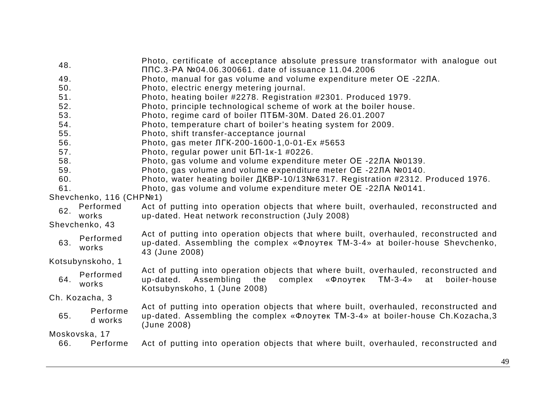| 48.<br>49.<br>50. |                          | Photo, certificate of acceptance absolute pressure transformator with analogue out<br>ППС.3-РА №04.06.300661. date of issuance 11.04.2006<br>Photo, manual for gas volume and volume expenditure meter OE -22ЛА.<br>Photo, electric energy metering journal. |
|-------------------|--------------------------|--------------------------------------------------------------------------------------------------------------------------------------------------------------------------------------------------------------------------------------------------------------|
| 51.               |                          | Photo, heating boiler #2278. Registration #2301. Produced 1979.                                                                                                                                                                                              |
| 52.               |                          | Photo, principle technological scheme of work at the boiler house.                                                                                                                                                                                           |
| 53.               |                          | Photo, regime card of boiler NT5M-30M. Dated 26.01.2007                                                                                                                                                                                                      |
| 54.               |                          | Photo, temperature chart of boiler's heating system for 2009.                                                                                                                                                                                                |
| 55.               |                          | Photo, shift transfer-acceptance journal                                                                                                                                                                                                                     |
| 56.               |                          | Photo, gas meter ЛГК-200-1600-1,0-01-Ex #5653                                                                                                                                                                                                                |
| 57.               |                          | Photo, regular power unit $5\pi$ -1k-1 #0226.                                                                                                                                                                                                                |
| 58.               |                          | Photo, gas volume and volume expenditure meter OE -22ЛА №0139.                                                                                                                                                                                               |
| 59.               |                          | Photo, gas volume and volume expenditure meter OE -22ЛА №0140.                                                                                                                                                                                               |
| 60.               |                          | Photo, water heating boiler AKBP-10/13№6317. Registration #2312. Produced 1976.                                                                                                                                                                              |
| 61.               |                          | Photo, gas volume and volume expenditure meter OE -22ЛА №0141.                                                                                                                                                                                               |
|                   | Shevchenko, 116 (CHPNº1) |                                                                                                                                                                                                                                                              |
| 62.               | Performed<br>works       | Act of putting into operation objects that where built, overhauled, reconstructed and<br>up-dated. Heat network reconstruction (July 2008)                                                                                                                   |
|                   | Shevchenko, 43           |                                                                                                                                                                                                                                                              |
| 63.               | Performed<br>works       | Act of putting into operation objects that where built, overhauled, reconstructed and<br>up-dated. Assembling the complex «Флоутек ТМ-3-4» at boiler-house Shevchenko,<br>43 (June 2008)                                                                     |
|                   | Kotsubynskoho, 1         |                                                                                                                                                                                                                                                              |
| 64.               | Performed<br>works       | Act of putting into operation objects that where built, overhauled, reconstructed and<br>up-dated. Assembling the<br>complex<br>«Флоутек<br>$TM-3-4$<br>boiler-house<br>at<br>Kotsubynskoho, 1 (June 2008)                                                   |
|                   | Ch. Kozacha, 3           |                                                                                                                                                                                                                                                              |
| 65.               | Performe<br>d works      | Act of putting into operation objects that where built, overhauled, reconstructed and<br>up-dated. Assembling the complex «Флоутек ТМ-3-4» at boiler-house Ch.Kozacha,3<br>(June 2008)                                                                       |
|                   | Moskovska, 17            |                                                                                                                                                                                                                                                              |
| 66.               | Performe                 | Act of putting into operation objects that where built, overhauled, reconstructed and                                                                                                                                                                        |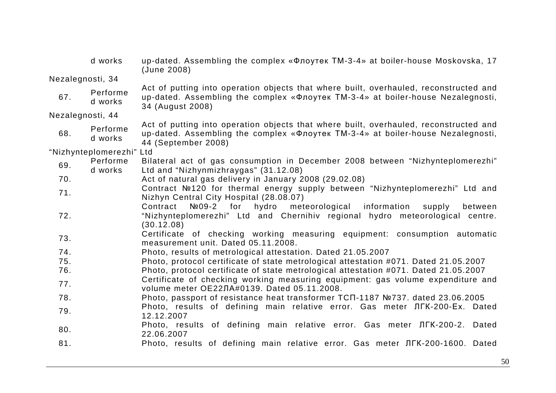|                  | d works                  | up-dated. Assembling the complex «Флоутек ТМ-3-4» at boiler-house Moskovska, 17<br>(June 2008)                                                                                                  |
|------------------|--------------------------|-------------------------------------------------------------------------------------------------------------------------------------------------------------------------------------------------|
| Nezalegnosti, 34 |                          |                                                                                                                                                                                                 |
| 67.              | Performe<br>d works      | Act of putting into operation objects that where built, overhauled, reconstructed and<br>up-dated. Assembling the complex «Флоутек ТМ-3-4» at boiler-house Nezalegnosti,<br>34 (August 2008)    |
| Nezalegnosti, 44 |                          |                                                                                                                                                                                                 |
| 68.              | Performe<br>d works      | Act of putting into operation objects that where built, overhauled, reconstructed and<br>up-dated. Assembling the complex «Флоутек ТМ-3-4» at boiler-house Nezalegnosti,<br>44 (September 2008) |
|                  | "Nizhynteplomerezhi" Ltd |                                                                                                                                                                                                 |
| 69.              | Performe<br>d works      | Bilateral act of gas consumption in December 2008 between "Nizhynteplomerezhi"<br>Ltd and "Nizhynmizhraygas" (31.12.08)                                                                         |
| 70.              |                          | Act of natural gas delivery in January 2008 (29.02.08)                                                                                                                                          |
| 71.              |                          | Contract №120 for thermal energy supply between "Nizhynteplomerezhi" Ltd and<br>Nizhyn Central City Hospital (28.08.07)                                                                         |
| 72.              |                          | meteorological<br>Nº09-2 for<br>hydro<br>information<br>Contract<br>between<br>supply<br>"Nizhynteplomerezhi" Ltd and Chernihiv regional hydro meteorological centre.<br>(30.12.08)             |
| 73.              |                          | Certificate of checking working measuring equipment: consumption automatic<br>measurement unit. Dated 05.11.2008.                                                                               |
| 74.              |                          | Photo, results of metrological attestation. Dated 21.05.2007                                                                                                                                    |
| 75.              |                          | Photo, protocol certificate of state metrological attestation #071. Dated 21.05.2007                                                                                                            |
| 76.              |                          | Photo, protocol certificate of state metrological attestation #071. Dated 21.05.2007                                                                                                            |
| 77.              |                          | Certificate of checking working measuring equipment: gas volume expenditure and<br>volume meter OE22JIA#0139. Dated 05.11.2008.                                                                 |
| 78.              |                          | Photo, passport of resistance heat transformer TCΠ-1187 №737. dated 23.06.2005                                                                                                                  |
| 79.              |                          | Photo, results of defining main relative error. Gas meter JIFK-200-Ex. Dated<br>12.12.2007                                                                                                      |
| 80.              |                          | Photo, results of defining main relative error. Gas meter JIFK-200-2. Dated<br>22.06.2007                                                                                                       |
| 81.              |                          | Photo, results of defining main relative error. Gas meter JIFK-200-1600. Dated                                                                                                                  |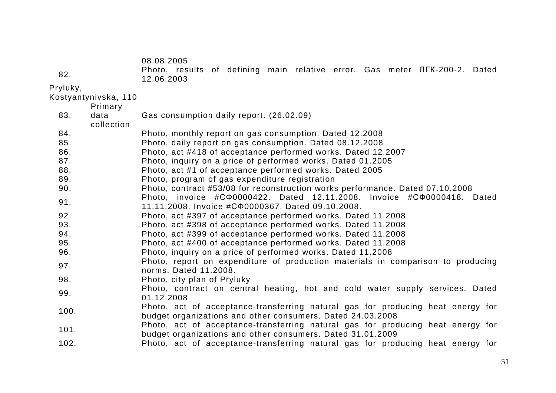08.08.2005

| - 82.       | 12.06.2003 |  |  |  |  | Photo, results of defining main relative error. Gas meter JIFK-200-2. Dated |  |
|-------------|------------|--|--|--|--|-----------------------------------------------------------------------------|--|
| ) rvda dzvz |            |  |  |  |  |                                                                             |  |

| Pryluky,             |  |
|----------------------|--|
| Kostyantynivska, 110 |  |
|                      |  |

| Primary            |                                                                                                                                               |
|--------------------|-----------------------------------------------------------------------------------------------------------------------------------------------|
| data<br>collection | Gas consumption daily report. (26.02.09)                                                                                                      |
|                    | Photo, monthly report on gas consumption. Dated 12.2008                                                                                       |
|                    | Photo, daily report on gas consumption. Dated 08.12.2008                                                                                      |
|                    | Photo, act #418 of acceptance performed works. Dated 12.2007                                                                                  |
|                    | Photo, inquiry on a price of performed works. Dated 01.2005                                                                                   |
|                    | Photo, act #1 of acceptance performed works. Dated 2005                                                                                       |
|                    | Photo, program of gas expenditure registration                                                                                                |
|                    | Photo, contract #53/08 for reconstruction works performance. Dated 07.10.2008                                                                 |
|                    | Photo, invoice $\#C\Phi 0000422$ . Dated 12.11.2008. Invoice $\#C\Phi 0000418$ . Dated<br>11.11.2008. Invoice #C00000367. Dated 09.10.2008.   |
|                    | Photo, act #397 of acceptance performed works. Dated 11.2008                                                                                  |
|                    | Photo, act #398 of acceptance performed works. Dated 11.2008                                                                                  |
|                    | Photo, act #399 of acceptance performed works. Dated 11.2008                                                                                  |
|                    | Photo, act #400 of acceptance performed works. Dated 11.2008                                                                                  |
|                    | Photo, inquiry on a price of performed works. Dated 11.2008                                                                                   |
|                    | Photo, report on expenditure of production materials in comparison to producing<br>norms. Dated 11.2008.                                      |
|                    | Photo, city plan of Pryluky                                                                                                                   |
|                    | Photo, contract on central heating, hot and cold water supply services. Dated<br>01.12.2008                                                   |
|                    | Photo, act of acceptance-transferring natural gas for producing heat energy for<br>budget organizations and other consumers. Dated 24.03.2008 |
|                    | Photo, act of acceptance-transferring natural gas for producing heat energy for<br>budget organizations and other consumers. Dated 31.01.2009 |
|                    | Photo, act of acceptance-transferring natural gas for producing heat energy for                                                               |
|                    |                                                                                                                                               |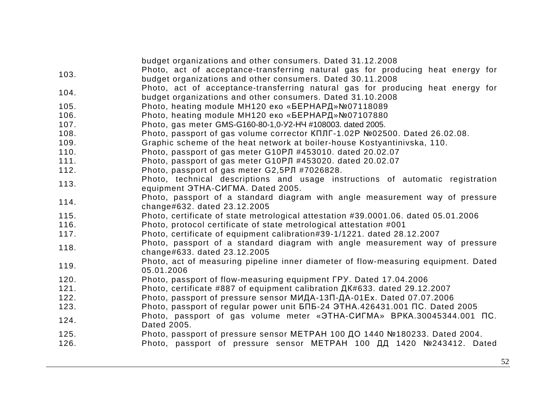|      | budget organizations and other consumers. Dated 31.12.2008                                                            |
|------|-----------------------------------------------------------------------------------------------------------------------|
| 103. | Photo, act of acceptance-transferring natural gas for producing heat energy for                                       |
|      | budget organizations and other consumers. Dated 30.11.2008                                                            |
| 104. | Photo, act of acceptance-transferring natural gas for producing heat energy for                                       |
|      | budget organizations and other consumers. Dated 31.10.2008                                                            |
| 105. | Photo, heating module MH120 еко «БЕРНАРД» №07118089                                                                   |
| 106. | Photo, heating module MH120 еко «БЕРНАРД»№07107880                                                                    |
| 107. | Photo, gas meter GMS-G160-80-1,0-Y2-HY #108003. dated 2005.                                                           |
| 108. | Photo, passport of gas volume corrector KΠЛГ-1.02P №02500. Dated 26.02.08.                                            |
| 109. | Graphic scheme of the heat network at boiler-house Kostyantinivska, 110.                                              |
| 110. | Photo, passport of gas meter G10PJ #453010. dated 20.02.07                                                            |
| 111. | Photo, passport of gas meter G10PJ #453020. dated 20.02.07                                                            |
| 112. | Photo, passport of gas meter G2,5PJ #7026828.                                                                         |
| 113. | Photo, technical descriptions and usage instructions of automatic registration                                        |
|      | equipment <i><b>GTHA-CULMA</b></i> . Dated 2005.                                                                      |
| 114. | Photo, passport of a standard diagram with angle measurement way of pressure                                          |
|      | change#632. dated 23.12.2005                                                                                          |
| 115. | Photo, certificate of state metrological attestation #39.0001.06. dated 05.01.2006                                    |
| 116. | Photo, protocol certificate of state metrological attestation #001                                                    |
| 117. | Photo, certificate of equipment calibration#39-1/1221. dated 28.12.2007                                               |
| 118. | Photo, passport of a standard diagram with angle measurement way of pressure                                          |
|      | change#633. dated 23.12.2005                                                                                          |
| 119. | Photo, act of measuring pipeline inner diameter of flow-measuring equipment. Dated                                    |
|      | 05.01.2006                                                                                                            |
| 120. | Photo, passport of flow-measuring equipment FPY. Dated 17.04.2006                                                     |
| 121. | Photo, certificate #887 of equipment calibration $\mu$ K#633. dated 29.12.2007                                        |
| 122. | Photo, passport of pressure sensor МИДА-13П-ДА-01Ex. Dated 07.07.2006                                                 |
| 123. | Photo, passport of regular power unit $5\overline{15}$ -24 $3\overline{1}$ HA.426431.001 $\overline{10}$ . Dated 2005 |
| 124. | Photo, passport of gas volume meter «ЭТНА-СИГМА» ВРКА.30045344.001 ПС.                                                |
|      | Dated 2005.                                                                                                           |
| 125. | Photo, passport of pressure sensor МЕТРАН 100 ДО 1440 №180233. Dated 2004.                                            |
| 126. | Photo, passport of pressure sensor МЕТРАН 100 ДД 1420 №243412. Dated                                                  |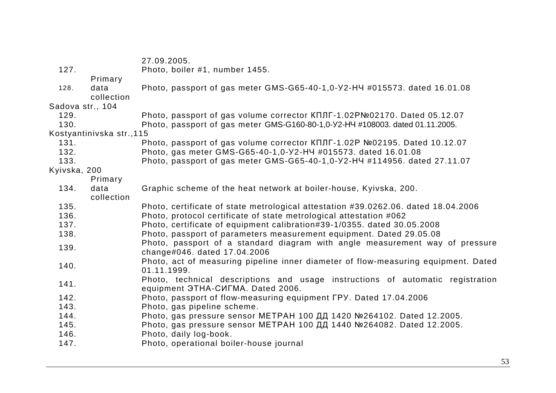|                  |                           | 27.09.2005.                                                                                                                        |
|------------------|---------------------------|------------------------------------------------------------------------------------------------------------------------------------|
| 127.             |                           | Photo, boiler #1, number 1455.                                                                                                     |
|                  | Primary                   |                                                                                                                                    |
| 128.             | data<br>collection        | Photo, passport of gas meter GMS-G65-40-1,0-Y2-H4 #015573. dated 16.01.08                                                          |
| Sadova str., 104 |                           |                                                                                                                                    |
| 129.             |                           | Photo, passport of gas volume corrector KΠЛГ-1.02PNº02170. Dated 05.12.07                                                          |
| 130.             |                           | Photo, passport of gas meter GMS-G160-80-1,0-Y2-HY #108003. dated 01.11.2005.                                                      |
|                  | Kostyantinivska str., 115 |                                                                                                                                    |
| 131.             |                           | Photo, passport of gas volume corrector KΠЛГ-1.02P №02195. Dated 10.12.07                                                          |
| 132.             |                           | Photo, gas meter GMS-G65-40-1,0-Y2-H4 #015573. dated 16.01.08                                                                      |
| 133.             |                           | Photo, passport of gas meter GMS-G65-40-1,0-Y2-HY #114956. dated 27.11.07                                                          |
| Kyivska, 200     |                           |                                                                                                                                    |
|                  | Primary                   |                                                                                                                                    |
| 134.             | data<br>collection        | Graphic scheme of the heat network at boiler-house, Kyivska, 200.                                                                  |
| 135.             |                           | Photo, certificate of state metrological attestation #39.0262.06. dated 18.04.2006                                                 |
| 136.             |                           | Photo, protocol certificate of state metrological attestation #062                                                                 |
| 137.             |                           | Photo, certificate of equipment calibration#39-1/0355. dated 30.05.2008                                                            |
| 138.             |                           | Photo, passport of parameters measurement equipment. Dated 29.05.08                                                                |
| 139.             |                           | Photo, passport of a standard diagram with angle measurement way of pressure<br>change#046. dated 17.04.2006                       |
| 140.             |                           | Photo, act of measuring pipeline inner diameter of flow-measuring equipment. Dated<br>01.11.1999.                                  |
| 141.             |                           | Photo, technical descriptions and usage instructions of automatic registration<br>equipment <i><b>GTHA-CULMA</b></i> . Dated 2006. |
| 142.             |                           | Photo, passport of flow-measuring equipment FPY. Dated 17.04.2006                                                                  |
| 143.             |                           | Photo, gas pipeline scheme.                                                                                                        |
| 144.             |                           | Photo, gas pressure sensor МЕТРАН 100 ДД 1420 №264102. Dated 12.2005.                                                              |
| 145.             |                           | Photo, gas pressure sensor МЕТРАН 100 ДД 1440 №264082. Dated 12.2005.                                                              |
| 146.             |                           | Photo, daily log-book.                                                                                                             |
| 147.             |                           | Photo, operational boiler-house journal                                                                                            |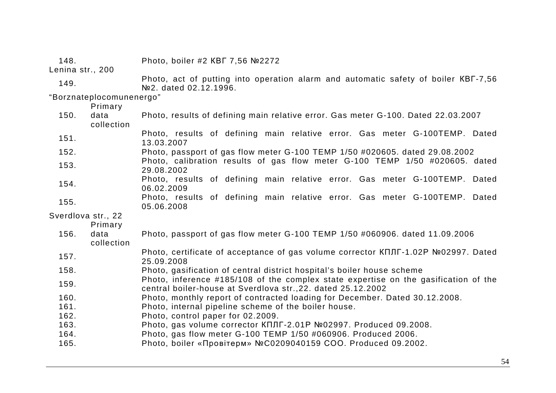| 148.                     |                    | Photo, boiler #2 KBF 7,56 №2272                                                                                                                     |  |
|--------------------------|--------------------|-----------------------------------------------------------------------------------------------------------------------------------------------------|--|
| Lenina str., 200         |                    |                                                                                                                                                     |  |
| 149.                     |                    | Photo, act of putting into operation alarm and automatic safety of boiler KBF-7,56<br>№2. dated 02.12.1996.                                         |  |
| "Borznateplocomunenergo" |                    |                                                                                                                                                     |  |
|                          | Primary            |                                                                                                                                                     |  |
| 150.                     | data<br>collection | Photo, results of defining main relative error. Gas meter G-100. Dated 22.03.2007                                                                   |  |
| 151.                     |                    | Photo, results of defining main relative error. Gas meter G-100TEMP. Dated<br>13.03.2007                                                            |  |
| 152.                     |                    | Photo, passport of gas flow meter G-100 TEMP 1/50 #020605. dated 29.08.2002                                                                         |  |
| 153.                     |                    | Photo, calibration results of gas flow meter G-100 TEMP 1/50 #020605. dated<br>29.08.2002                                                           |  |
| 154.                     |                    | Photo, results of defining main relative error. Gas meter G-100TEMP. Dated<br>06.02.2009                                                            |  |
| 155.                     |                    | Photo, results of defining main relative error. Gas meter G-100TEMP. Dated<br>05.06.2008                                                            |  |
| Sverdlova str., 22       |                    |                                                                                                                                                     |  |
|                          | Primary            |                                                                                                                                                     |  |
| 156.                     | data<br>collection | Photo, passport of gas flow meter G-100 TEMP 1/50 #060906. dated 11.09.2006                                                                         |  |
| 157.                     |                    | Photo, certificate of acceptance of gas volume corrector KΠЛГ-1.02P №02997. Dated<br>25.09.2008                                                     |  |
| 158.                     |                    | Photo, gasification of central district hospital's boiler house scheme                                                                              |  |
| 159.                     |                    | Photo, inference #185/108 of the complex state expertise on the gasification of the<br>central boiler-house at Sverdlova str., 22. dated 25.12.2002 |  |
| 160.                     |                    | Photo, monthly report of contracted loading for December. Dated 30.12.2008.                                                                         |  |
| 161.                     |                    | Photo, internal pipeline scheme of the boiler house.                                                                                                |  |
| 162.                     |                    | Photo, control paper for 02.2009.                                                                                                                   |  |
| 163.                     |                    | Photo, gas volume corrector KΠЛГ-2.01P №02997. Produced 09.2008.                                                                                    |  |
| 164.                     |                    | Photo, gas flow meter G-100 TEMP 1/50 #060906. Produced 2006.                                                                                       |  |
| 165.                     |                    | Photo, boiler «Провітерм» №С0209040159 СОО. Produced 09.2002.                                                                                       |  |